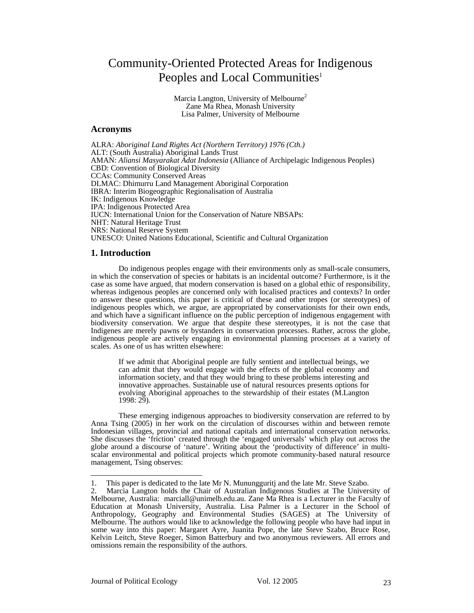# Community-Oriented Protected Areas for Indigenous Peoples and Local Communities<sup>1</sup>

Marcia Langton, University of Melbourne<sup>2</sup> Zane Ma Rhea, Monash University Lisa Palmer, University of Melbourne

#### **Acronyms**

ALRA: *Aboriginal Land Rights Act (Northern Territory) 1976 (Cth.)* ALT: (South Australia) Aboriginal Lands Trust AMAN: *Aliansi Masyarakat Adat Indonesia* (Alliance of Archipelagic Indigenous Peoples) CBD: Convention of Biological Diversity CCAs: Community Conserved Areas DLMAC: Dhimurru Land Management Aboriginal Corporation IBRA: Interim Biogeographic Regionalisation of Australia IK: Indigenous Knowledge IPA: Indigenous Protected Area IUCN: International Union for the Conservation of Nature NBSAPs: NHT: Natural Heritage Trust NRS: National Reserve System UNESCO: United Nations Educational, Scientific and Cultural Organization

# **1. Introduction**

 Do indigenous peoples engage with their environments only as small-scale consumers, in which the conservation of species or habitats is an incidental outcome? Furthermore, is it the case as some have argued, that modern conservation is based on a global ethic of responsibility, whereas indigenous peoples are concerned only with localised practices and contexts? In order to answer these questions, this paper is critical of these and other tropes (or stereotypes) of indigenous peoples which, we argue, are appropriated by conservationists for their own ends, and which have a significant influence on the public perception of indigenous engagement with biodiversity conservation. We argue that despite these stereotypes, it is not the case that Indigenes are merely pawns or bystanders in conservation processes. Rather, across the globe, indigenous people are actively engaging in environmental planning processes at a variety of scales. As one of us has written elsewhere:

If we admit that Aboriginal people are fully sentient and intellectual beings, we can admit that they would engage with the effects of the global economy and information society, and that they would bring to these problems interesting and innovative approaches. Sustainable use of natural resources presents options for evolving Aboriginal approaches to the stewardship of their estates (M.Langton 1998: 29).

 These emerging indigenous approaches to biodiversity conservation are referred to by Anna Tsing (2005) in her work on the circulation of discourses within and between remote Indonesian villages, provincial and national capitals and international conservation networks. She discusses the 'friction' created through the 'engaged universals' which play out across the globe around a discourse of 'nature'. Writing about the 'productivity of difference' in multiscalar environmental and political projects which promote community-based natural resource management, Tsing observes:

1

<sup>1.</sup> This paper is dedicated to the late Mr N. Munungguritj and the late Mr. Steve Szabo.

<sup>2.</sup> Marcia Langton holds the Chair of Australian Indigenous Studies at The University of Melbourne, Australia: marciall@unimelb.edu.au. Zane Ma Rhea is a Lecturer in the Faculty of Education at Monash University, Australia. Lisa Palmer is a Lecturer in the School of Anthropology, Geography and Environmental Studies (SAGES) at The University of Melbourne. The authors would like to acknowledge the following people who have had input in some way into this paper: Margaret Ayre, Juanita Pope, the late Steve Szabo, Bruce Rose, Kelvin Leitch, Steve Roeger, Simon Batterbury and two anonymous reviewers. All errors and omissions remain the responsibility of the authors.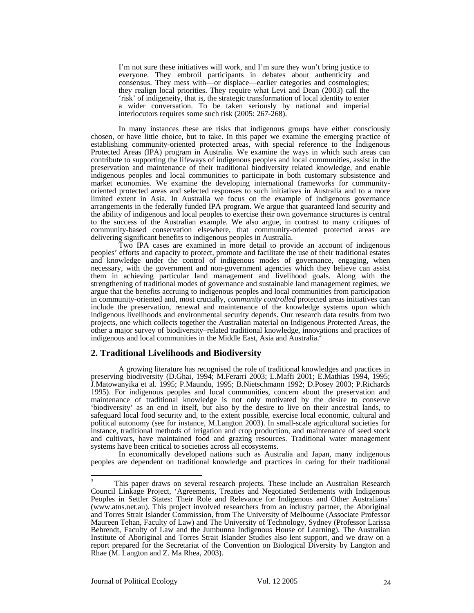I'm not sure these initiatives will work, and I'm sure they won't bring justice to everyone. They embroil participants in debates about authenticity and consensus. They mess with—or displace—earlier categories and cosmologies; they realign local priorities. They require what Levi and Dean (2003) call the 'risk' of indigeneity, that is, the strategic transformation of local identity to enter a wider conversation. To be taken seriously by national and imperial interlocutors requires some such risk (2005: 267-268).

 In many instances these are risks that indigenous groups have either consciously chosen, or have little choice, but to take. In this paper we examine the emerging practice of establishing community-oriented protected areas, with special reference to the Indigenous Protected Areas (IPA) program in Australia. We examine the ways in which such areas can contribute to supporting the lifeways of indigenous peoples and local communities, assist in the preservation and maintenance of their traditional biodiversity related knowledge, and enable indigenous peoples and local communities to participate in both customary subsistence and market economies. We examine the developing international frameworks for communityoriented protected areas and selected responses to such initiatives in Australia and to a more limited extent in Asia. In Australia we focus on the example of indigenous governance arrangements in the federally funded IPA program. We argue that guaranteed land security and the ability of indigenous and local peoples to exercise their own governance structures is central to the success of the Australian example. We also argue, in contrast to many critiques of community-based conservation elsewhere, that community-oriented protected areas are delivering significant benefits to indigenous peoples in Australia.

 Two IPA cases are examined in more detail to provide an account of indigenous peoples' efforts and capacity to protect, promote and facilitate the use of their traditional estates and knowledge under the control of indigenous modes of governance, engaging, when necessary, with the government and non-government agencies which they believe can assist them in achieving particular land management and livelihood goals. Along with the strengthening of traditional modes of governance and sustainable land management regimes, we argue that the benefits accruing to indigenous peoples and local communities from participation in community-oriented and, most crucially, *community controlled* protected areas initiatives can include the preservation, renewal and maintenance of the knowledge systems upon which indigenous livelihoods and environmental security depends. Our research data results from two projects, one which collects together the Australian material on Indigenous Protected Areas, the other a major survey of biodiversity–related traditional knowledge, innovations and practices of indigenous and local communities in the Middle East, Asia and Australia.<sup>3</sup>

### **2. Traditional Livelihoods and Biodiversity**

 A growing literature has recognised the role of traditional knowledges and practices in preserving biodiversity (D.Ghai, 1994; M.Ferarri 2003; L.Maffi 2001; E.Mathias 1994, 1995; J.Matowanyika et al. 1995; P.Maundu, 1995; B.Nietschmann 1992; D.Posey 2003; P.Richards 1995). For indigenous peoples and local communities, concern about the preservation and maintenance of traditional knowledge is not only motivated by the desire to conserve 'biodiversity' as an end in itself, but also by the desire to live on their ancestral lands, to safeguard local food security and, to the extent possible, exercise local economic, cultural and political autonomy (see for instance, M.Langton 2003). In small-scale agricultural societies for instance, traditional methods of irrigation and crop production, and maintenance of seed stock and cultivars, have maintained food and grazing resources. Traditional water management systems have been critical to societies across all ecosystems.

 In economically developed nations such as Australia and Japan, many indigenous peoples are dependent on traditional knowledge and practices in caring for their traditional

 $\frac{1}{2}$ 

<sup>3</sup> This paper draws on several research projects. These include an Australian Research Council Linkage Project, 'Agreements, Treaties and Negotiated Settlements with Indigenous Peoples in Settler States: Their Role and Relevance for Indigenous and Other Australians' (www.atns.net.au). This project involved researchers from an industry partner, the Aboriginal and Torres Strait Islander Commission, from The University of Melbourne (Associate Professor Maureen Tehan, Faculty of Law) and The University of Technology, Sydney (Professor Larissa Behrendt, Faculty of Law and the Jumbunna Indigenous House of Learning). The Australian Institute of Aboriginal and Torres Strait Islander Studies also lent support, and we draw on a report prepared for the Secretariat of the Convention on Biological Diversity by Langton and Rhae (M. Langton and Z. Ma Rhea, 2003).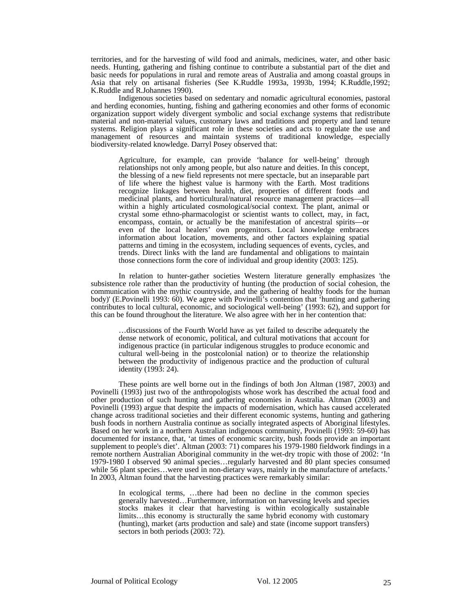territories, and for the harvesting of wild food and animals, medicines, water, and other basic needs. Hunting, gathering and fishing continue to contribute a substantial part of the diet and basic needs for populations in rural and remote areas of Australia and among coastal groups in Asia that rely on artisanal fisheries (See K.Ruddle 1993a, 1993b, 1994; K.Ruddle,1992; K.Ruddle and R.Johannes 1990).

 Indigenous societies based on sedentary and nomadic agricultural economies, pastoral and herding economies, hunting, fishing and gathering economies and other forms of economic organization support widely divergent symbolic and social exchange systems that redistribute material and non-material values, customary laws and traditions and property and land tenure systems. Religion plays a significant role in these societies and acts to regulate the use and management of resources and maintain systems of traditional knowledge, especially biodiversity-related knowledge. Darryl Posey observed that:

Agriculture, for example, can provide 'balance for well-being' through relationships not only among people, but also nature and deities. In this concept, the blessing of a new field represents not mere spectacle, but an inseparable part of life where the highest value is harmony with the Earth. Most traditions recognize linkages between health, diet, properties of different foods and medicinal plants, and horticultural/natural resource management practices—all within a highly articulated cosmological/social context. The plant, animal or crystal some ethno-pharmacologist or scientist wants to collect, may, in fact, encompass, contain, or actually be the manifestation of ancestral spirits—or even of the local healers' own progenitors. Local knowledge embraces information about location, movements, and other factors explaining spatial patterns and timing in the ecosystem, including sequences of events, cycles, and trends. Direct links with the land are fundamental and obligations to maintain those connections form the core of individual and group identity (2003: 125).

 In relation to hunter-gather societies Western literature generally emphasizes 'the subsistence role rather than the productivity of hunting (the production of social cohesion, the communication with the mythic countryside, and the gathering of healthy foods for the human body)' (E.Povinelli 1993: 60). We agree with Povinelli's contention that 'hunting and gathering contributes to local cultural, economic, and sociological well-being' (1993: 62), and support for this can be found throughout the literature. We also agree with her in her contention that:

…discussions of the Fourth World have as yet failed to describe adequately the dense network of economic, political, and cultural motivations that account for indigenous practice (in particular indigenous struggles to produce economic and cultural well-being in the postcolonial nation) or to theorize the relationship between the productivity of indigenous practice and the production of cultural identity (1993: 24).

 These points are well borne out in the findings of both Jon Altman (1987, 2003) and Povinelli (1993) just two of the anthropologists whose work has described the actual food and other production of such hunting and gathering economies in Australia. Altman (2003) and Povinelli (1993) argue that despite the impacts of modernisation, which has caused accelerated change across traditional societies and their different economic systems, hunting and gathering bush foods in northern Australia continue as socially integrated aspects of Aboriginal lifestyles. Based on her work in a northern Australian indigenous community, Povinelli (1993: 59-60) has documented for instance, that, 'at times of economic scarcity, bush foods provide an important supplement to people's diet'. Altman (2003: 71) compares his 1979-1980 fieldwork findings in a remote northern Australian Aboriginal community in the wet-dry tropic with those of 2002: 'In 1979-1980 I observed 90 animal species…regularly harvested and 80 plant species consumed while 56 plant species...were used in non-dietary ways, mainly in the manufacture of artefacts.' In 2003, Altman found that the harvesting practices were remarkably similar:

In ecological terms, …there had been no decline in the common species generally harvested…Furthermore, information on harvesting levels and species stocks makes it clear that harvesting is within ecologically sustainable limits…this economy is structurally the same hybrid economy with customary (hunting), market (arts production and sale) and state (income support transfers) sectors in both periods  $(2003:72)$ .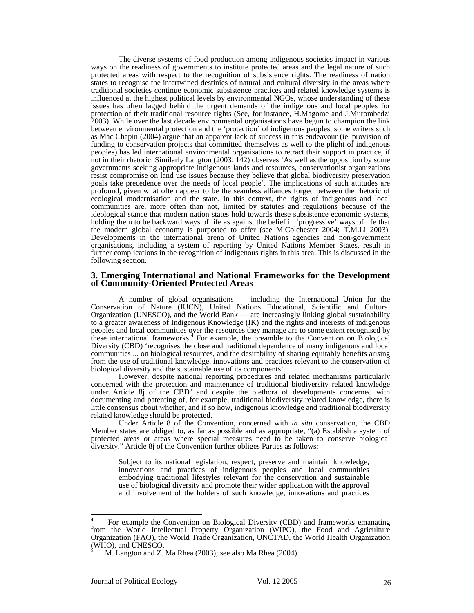The diverse systems of food production among indigenous societies impact in various ways on the readiness of governments to institute protected areas and the legal nature of such protected areas with respect to the recognition of subsistence rights. The readiness of nation states to recognise the intertwined destinies of natural and cultural diversity in the areas where traditional societies continue economic subsistence practices and related knowledge systems is influenced at the highest political levels by environmental NGOs, whose understanding of these issues has often lagged behind the urgent demands of the indigenous and local peoples for protection of their traditional resource rights (See, for instance, H.Magome and J.Murombedzi 2003). While over the last decade environmental organisations have begun to champion the link between environmental protection and the 'protection' of indigenous peoples, some writers such as Mac Chapin (2004) argue that an apparent lack of success in this endeavour (ie. provision of funding to conservation projects that committed themselves as well to the plight of indigenous peoples) has led international environmental organisations to retract their support in practice, if not in their rhetoric. Similarly Langton (2003: 142) observes 'As well as the opposition by some governments seeking appropriate indigenous lands and resources, conservationist organizations resist compromise on land use issues because they believe that global biodiversity preservation goals take precedence over the needs of local people'. The implications of such attitudes are profound, given what often appear to be the seamless alliances forged between the rhetoric of ecological modernisation and the state. In this context, the rights of indigenous and local communities are, more often than not, limited by statutes and regulations because of the ideological stance that modern nation states hold towards these subsistence economic systems, holding them to be backward ways of life as against the belief in 'progressive' ways of life that the modern global economy is purported to offer (see M.Colchester 2004; T.M.Li 2003). Developments in the international arena of United Nations agencies and non-government organisations, including a system of reporting by United Nations Member States, result in further complications in the recognition of indigenous rights in this area. This is discussed in the following section.

#### **3. Emerging International and National Frameworks for the Development of Community-Oriented Protected Areas**

 A number of global organisations — including the International Union for the Conservation of Nature (IUCN), United Nations Educational, Scientific and Cultural Organization (UNESCO), and the World Bank — are increasingly linking global sustainability to a greater awareness of Indigenous Knowledge (IK) and the rights and interests of indigenous peoples and local communities over the resources they manage are to some extent recognised by these international frameworks.4 For example, the preamble to the Convention on Biological Diversity (CBD) 'recognises the close and traditional dependence of many indigenous and local communities ... on biological resources, and the desirability of sharing equitably benefits arising from the use of traditional knowledge, innovations and practices relevant to the conservation of biological diversity and the sustainable use of its components'.

 However, despite national reporting procedures and related mechanisms particularly concerned with the protection and maintenance of traditional biodiversity related knowledge under Article  $8j$  of the CBD<sup>5</sup> and despite the plethora of developments concerned with documenting and patenting of, for example, traditional biodiversity related knowledge, there is little consensus about whether, and if so how, indigenous knowledge and traditional biodiversity related knowledge should be protected.

 Under Article 8 of the Convention, concerned with *in situ* conservation, the CBD Member states are obliged to, as far as possible and as appropriate, "(a) Establish a system of protected areas or areas where special measures need to be taken to conserve biological diversity." Article 8j of the Convention further obliges Parties as follows:

Subject to its national legislation, respect, preserve and maintain knowledge, innovations and practices of indigenous peoples and local communities embodying traditional lifestyles relevant for the conservation and sustainable use of biological diversity and promote their wider application with the approval and involvement of the holders of such knowledge, innovations and practices

<sup>4</sup> For example the Convention on Biological Diversity (CBD) and frameworks emanating from the World Intellectual Property Organization (WIPO), the Food and Agriculture Organization (FAO), the World Trade Organization, UNCTAD, the World Health Organization  $(WHO)$ , and UNESCO.

M. Langton and Z. Ma Rhea (2003); see also Ma Rhea (2004).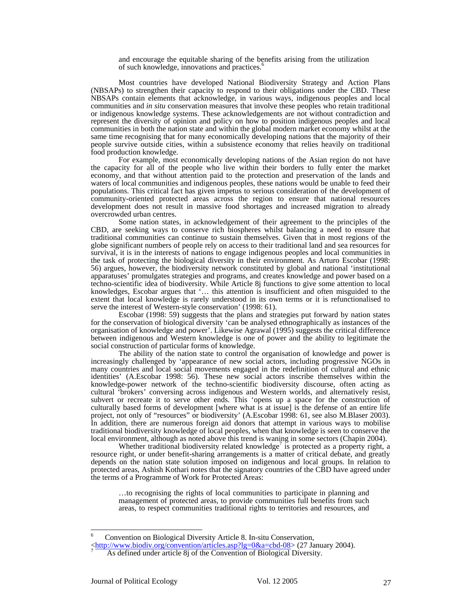and encourage the equitable sharing of the benefits arising from the utilization of such knowledge, innovations and practices.<sup>6</sup>

 Most countries have developed National Biodiversity Strategy and Action Plans (NBSAPs) to strengthen their capacity to respond to their obligations under the CBD. These NBSAPs contain elements that acknowledge, in various ways, indigenous peoples and local communities and *in situ* conservation measures that involve these peoples who retain traditional or indigenous knowledge systems. These acknowledgements are not without contradiction and represent the diversity of opinion and policy on how to position indigenous peoples and local communities in both the nation state and within the global modern market economy whilst at the same time recognising that for many economically developing nations that the majority of their people survive outside cities, within a subsistence economy that relies heavily on traditional food production knowledge.

 For example, most economically developing nations of the Asian region do not have the capacity for all of the people who live within their borders to fully enter the market economy, and that without attention paid to the protection and preservation of the lands and waters of local communities and indigenous peoples, these nations would be unable to feed their populations. This critical fact has given impetus to serious consideration of the development of community-oriented protected areas across the region to ensure that national resources development does not result in massive food shortages and increased migration to already overcrowded urban centres.

 Some nation states, in acknowledgement of their agreement to the principles of the CBD, are seeking ways to conserve rich biospheres whilst balancing a need to ensure that traditional communities can continue to sustain themselves. Given that in most regions of the globe significant numbers of people rely on access to their traditional land and sea resources for survival, it is in the interests of nations to engage indigenous peoples and local communities in the task of protecting the biological diversity in their environment. As Arturo Escobar (1998: 56) argues, however, the biodiversity network constituted by global and national 'institutional apparatuses' promulgates strategies and programs, and creates knowledge and power based on a techno-scientific idea of biodiversity. While Article 8j functions to give some attention to local knowledges, Escobar argues that '… this attention is insufficient and often misguided to the extent that local knowledge is rarely understood in its own terms or it is refunctionalised to serve the interest of Western-style conservation' (1998: 61).

 Escobar (1998: 59) suggests that the plans and strategies put forward by nation states for the conservation of biological diversity 'can be analysed ethnographically as instances of the organisation of knowledge and power'. Likewise Agrawal (1995) suggests the critical difference between indigenous and Western knowledge is one of power and the ability to legitimate the social construction of particular forms of knowledge.

 The ability of the nation state to control the organisation of knowledge and power is increasingly challenged by 'appearance of new social actors, including progressive NGOs in many countries and local social movements engaged in the redefinition of cultural and ethnic identities' (A.Escobar 1998: 56). These new social actors inscribe themselves within the knowledge-power network of the techno-scientific biodiversity discourse, often acting as cultural 'brokers' conversing across indigenous and Western worlds, and alternatively resist, subvert or recreate it to serve other ends. This 'opens up a space for the construction of culturally based forms of development [where what is at issue] is the defense of an entire life project, not only of "resources" or biodiversity' (A.Escobar 1998: 61, see also M.Blaser 2003). In addition, there are numerous foreign aid donors that attempt in various ways to mobilise traditional biodiversity knowledge of local peoples, when that knowledge is seen to conserve the local environment, although as noted above this trend is waning in some sectors (Chapin 2004).

Whether traditional biodiversity related knowledge<sup>7</sup> is protected as a property right, a resource right, or under benefit-sharing arrangements is a matter of critical debate, and greatly depends on the nation state solution imposed on indigenous and local groups. In relation to protected areas, Ashish Kothari notes that the signatory countries of the CBD have agreed under the terms of a Programme of Work for Protected Areas:

…to recognising the rights of local communities to participate in planning and management of protected areas, to provide communities full benefits from such areas, to respect communities traditional rights to territories and resources, and

 $\overline{\phantom{a}}$ 

<sup>6</sup> Convention on Biological Diversity Article 8. In-situ Conservation,

<sup>&</sup>lt;http://www.biodiv.org/convention/articles.asp?lg=0&a=cbd-08> (27 January 2004). 7

As defined under article 8j of the Convention of Biological Diversity.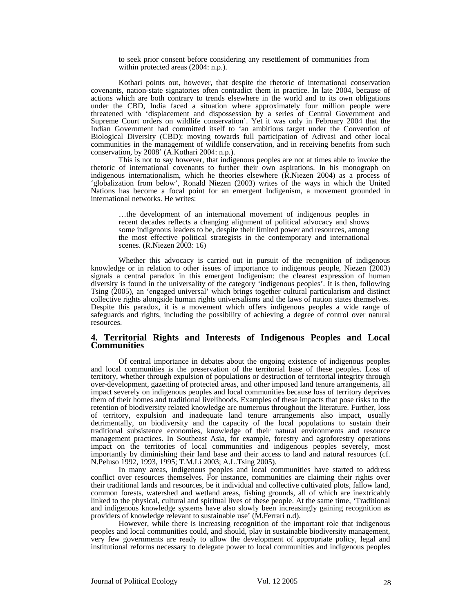to seek prior consent before considering any resettlement of communities from within protected areas (2004: n.p.).

 Kothari points out, however, that despite the rhetoric of international conservation covenants, nation-state signatories often contradict them in practice. In late 2004, because of actions which are both contrary to trends elsewhere in the world and to its own obligations under the CBD, India faced a situation where approximately four million people were threatened with 'displacement and dispossession by a series of Central Government and Supreme Court orders on wildlife conservation'. Yet it was only in February 2004 that the Indian Government had committed itself to 'an ambitious target under the Convention of Biological Diversity (CBD): moving towards full participation of Adivasi and other local communities in the management of wildlife conservation, and in receiving benefits from such conservation, by 2008' (A.Kothari 2004: n.p.).

 This is not to say however, that indigenous peoples are not at times able to invoke the rhetoric of international covenants to further their own aspirations. In his monograph on indigenous internationalism, which he theories elsewhere (R.Niezen 2004) as a process of 'globalization from below', Ronald Niezen (2003) writes of the ways in which the United Nations has become a focal point for an emergent Indigenism, a movement grounded in international networks. He writes:

…the development of an international movement of indigenous peoples in recent decades reflects a changing alignment of political advocacy and shows some indigenous leaders to be, despite their limited power and resources, among the most effective political strategists in the contemporary and international scenes. (R.Niezen 2003: 16)

 Whether this advocacy is carried out in pursuit of the recognition of indigenous knowledge or in relation to other issues of importance to indigenous people, Niezen (2003) signals a central paradox in this emergent Indigenism: the clearest expression of human diversity is found in the universality of the category 'indigenous peoples'. It is then, following Tsing (2005), an 'engaged universal' which brings together cultural particularism and distinct collective rights alongside human rights universalisms and the laws of nation states themselves. Despite this paradox, it is a movement which offers indigenous peoples a wide range of safeguards and rights, including the possibility of achieving a degree of control over natural resources.

#### **4. Territorial Rights and Interests of Indigenous Peoples and Local Communities**

 Of central importance in debates about the ongoing existence of indigenous peoples and local communities is the preservation of the territorial base of these peoples. Loss of territory, whether through expulsion of populations or destruction of territorial integrity through over-development, gazetting of protected areas, and other imposed land tenure arrangements, all impact severely on indigenous peoples and local communities because loss of territory deprives them of their homes and traditional livelihoods. Examples of these impacts that pose risks to the retention of biodiversity related knowledge are numerous throughout the literature. Further, loss of territory, expulsion and inadequate land tenure arrangements also impact, usually detrimentally, on biodiversity and the capacity of the local populations to sustain their traditional subsistence economies, knowledge of their natural environments and resource management practices. In Southeast Asia, for example, forestry and agroforestry operations impact on the territories of local communities and indigenous peoples severely, most importantly by diminishing their land base and their access to land and natural resources (cf. N.Peluso 1992, 1993, 1995; T.M.Li 2003; A.L.Tsing 2005).

 In many areas, indigenous peoples and local communities have started to address conflict over resources themselves. For instance, communities are claiming their rights over their traditional lands and resources, be it individual and collective cultivated plots, fallow land, common forests, watershed and wetland areas, fishing grounds, all of which are inextricably linked to the physical, cultural and spiritual lives of these people. At the same time, 'Traditional and indigenous knowledge systems have also slowly been increasingly gaining recognition as providers of knowledge relevant to sustainable use' (M.Ferrari n.d).

 However, while there is increasing recognition of the important role that indigenous peoples and local communities could, and should, play in sustainable biodiversity management, very few governments are ready to allow the development of appropriate policy, legal and institutional reforms necessary to delegate power to local communities and indigenous peoples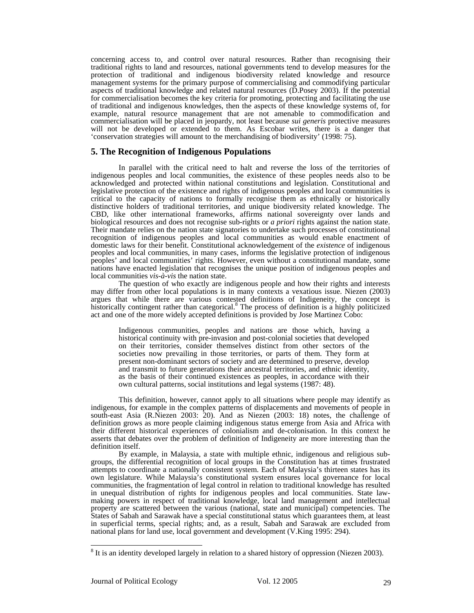concerning access to, and control over natural resources. Rather than recognising their traditional rights to land and resources, national governments tend to develop measures for the protection of traditional and indigenous biodiversity related knowledge and resource management systems for the primary purpose of commercialising and commodifying particular aspects of traditional knowledge and related natural resources (D.Posey 2003). If the potential for commercialisation becomes the key criteria for promoting, protecting and facilitating the use of traditional and indigenous knowledges, then the aspects of these knowledge systems of, for example, natural resource management that are not amenable to commodification and commercialisation will be placed in jeopardy, not least because *sui generis* protective measures will not be developed or extended to them. As Escobar writes, there is a danger that 'conservation strategies will amount to the merchandising of biodiversity' (1998: 75).

### **5. The Recognition of Indigenous Populations**

 In parallel with the critical need to halt and reverse the loss of the territories of indigenous peoples and local communities, the existence of these peoples needs also to be acknowledged and protected within national constitutions and legislation. Constitutional and legislative protection of the existence and rights of indigenous peoples and local communities is critical to the capacity of nations to formally recognise them as ethnically or historically distinctive holders of traditional territories, and unique biodiversity related knowledge. The CBD, like other international frameworks, affirms national sovereignty over lands and biological resources and does not recognise sub-rights or *a priori* rights against the nation state. Their mandate relies on the nation state signatories to undertake such processes of constitutional recognition of indigenous peoples and local communities as would enable enactment of domestic laws for their benefit. Constitutional acknowledgement of the *existence* of indigenous peoples and local communities, in many cases, informs the legislative protection of indigenous peoples' and local communities' rights. However, even without a constitutional mandate, some nations have enacted legislation that recognises the unique position of indigenous peoples and local communities *vis-à-vis* the nation state.

 The question of who exactly are indigenous people and how their rights and interests may differ from other local populations is in many contexts a vexatious issue. Niezen (2003) argues that while there are various contested definitions of Indigeneity, the concept is historically contingent rather than categorical.<sup>8</sup> The process of definition is a highly politicized act and one of the more widely accepted definitions is provided by Jose Martinez Cobo:

Indigenous communities, peoples and nations are those which, having a historical continuity with pre-invasion and post-colonial societies that developed on their territories, consider themselves distinct from other sectors of the societies now prevailing in those territories, or parts of them. They form at present non-dominant sectors of society and are determined to preserve, develop and transmit to future generations their ancestral territories, and ethnic identity, as the basis of their continued existences as peoples, in accordance with their own cultural patterns, social institutions and legal systems (1987: 48).

 This definition, however, cannot apply to all situations where people may identify as indigenous, for example in the complex patterns of displacements and movements of people in south-east Asia (R.Niezen 2003: 20). And as Niezen (2003: 18) notes, the challenge of definition grows as more people claiming indigenous status emerge from Asia and Africa with their different historical experiences of colonialism and de-colonisation. In this context he asserts that debates over the problem of definition of Indigeneity are more interesting than the definition itself.

 By example, in Malaysia, a state with multiple ethnic, indigenous and religious subgroups, the differential recognition of local groups in the Constitution has at times frustrated attempts to coordinate a nationally consistent system. Each of Malaysia's thirteen states has its own legislature. While Malaysia's constitutional system ensures local governance for local communities, the fragmentation of legal control in relation to traditional knowledge has resulted in unequal distribution of rights for indigenous peoples and local communities. State lawmaking powers in respect of traditional knowledge, local land management and intellectual property are scattered between the various (national, state and municipal) competencies. The States of Sabah and Sarawak have a special constitutional status which guarantees them, at least in superficial terms, special rights; and, as a result, Sabah and Sarawak are excluded from national plans for land use, local government and development (V.King 1995: 294).

 $\frac{1}{2}$  $8$  It is an identity developed largely in relation to a shared history of oppression (Niezen 2003).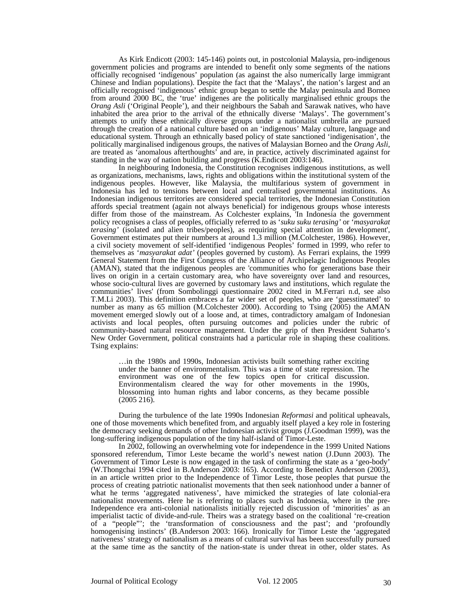As Kirk Endicott (2003: 145-146) points out, in postcolonial Malaysia, pro-indigenous government policies and programs are intended to benefit only some segments of the nations officially recognised 'indigenous' population (as against the also numerically large immigrant Chinese and Indian populations). Despite the fact that the 'Malays', the nation's largest and an officially recognised 'indigenous' ethnic group began to settle the Malay peninsula and Borneo from around 2000 BC, the 'true' indigenes are the politically marginalised ethnic groups the *Orang Asli* ('Original People'), and their neighbours the Sabah and Sarawak natives, who have inhabited the area prior to the arrival of the ethnically diverse 'Malays'. The government's attempts to unify these ethnically diverse groups under a nationalist umbrella are pursued through the creation of a national culture based on an 'indigenous' Malay culture, language and educational system. Through an ethnically based policy of state sanctioned 'indigenisation', the politically marginalised indigenous groups, the natives of Malaysian Borneo and the *Orang Asli*, are treated as 'anomalous afterthoughts' and are, in practice, actively discriminated against for standing in the way of nation building and progress (K.Endicott 2003:146).

 In neighbouring Indonesia, the Constitution recognises indigenous institutions, as well as organizations, mechanisms, laws, rights and obligations within the institutional system of the indigenous peoples. However, like Malaysia, the multifarious system of government in Indonesia has led to tensions between local and centralised governmental institutions. As Indonesian indigenous territories are considered special territories, the Indonesian Constitution affords special treatment (again not always beneficial) for indigenous groups whose interests differ from those of the mainstream. As Colchester explains, 'In Indonesia the government policy recognises a class of peoples, officially referred to as '*suku suku terasing'* or '*masyarakat terasing'* (isolated and alien tribes/peoples), as requiring special attention in development', Government estimates put their numbers at around 1.3 million (M.Colchester, 1986). However, a civil society movement of self-identified 'indigenous Peoples' formed in 1999, who refer to themselves as '*masyarakat adat'* (peoples governed by custom). As Ferrari explains, the 1999 General Statement from the First Congress of the Alliance of Archipelagic Indigenous Peoples (AMAN), stated that the indigenous peoples are 'communities who for generations base their lives on origin in a certain customary area, who have sovereignty over land and resources, whose socio-cultural lives are governed by customary laws and institutions, which regulate the communities' lives' (from Sombolinggi questionnaire 2002 cited in M.Ferrari n.d, see also T.M.Li 2003). This definition embraces a far wider set of peoples, who are 'guesstimated' to number as many as 65 million (M.Colchester 2000). According to Tsing (2005) the AMAN movement emerged slowly out of a loose and, at times, contradictory amalgam of Indonesian activists and local peoples, often pursuing outcomes and policies under the rubric of community-based natural resource management. Under the grip of then President Suharto's New Order Government, political constraints had a particular role in shaping these coalitions. Tsing explains:

…in the 1980s and 1990s, Indonesian activists built something rather exciting under the banner of environmentalism. This was a time of state repression. The environment was one of the few topics open for critical discussion. Environmentalism cleared the way for other movements in the 1990s, blossoming into human rights and labor concerns, as they became possible (2005 216).

 During the turbulence of the late 1990s Indonesian *Reformasi* and political upheavals, one of those movements which benefited from, and arguably itself played a key role in fostering the democracy seeking demands of other Indonesian activist groups (J.Goodman 1999), was the long-suffering indigenous population of the tiny half-island of Timor-Leste.

 In 2002, following an overwhelming vote for independence in the 1999 United Nations sponsored referendum, Timor Leste became the world's newest nation (J.Dunn 2003). The Government of Timor Leste is now engaged in the task of confirming the state as a 'geo-body' (W.Thongchai 1994 cited in B.Anderson 2003: 165). According to Benedict Anderson (2003), in an article written prior to the Independence of Timor Leste, those peoples that pursue the process of creating patriotic nationalist movements that then seek nationhood under a banner of what he terms 'aggregated nativeness', have mimicked the strategies of late colonial-era nationalist movements. Here he is referring to places such as Indonesia, where in the pre-Independence era anti-colonial nationalists initially rejected discussion of 'minorities' as an imperialist tactic of divide-and-rule. Theirs was a strategy based on the coalitional 're-creation of a "people"'; the 'transformation of consciousness and the past'; and 'profoundly homogenising instincts' (B.Anderson 2003: 166). Ironically for Timor Leste the 'aggregated nativeness' strategy of nationalism as a means of cultural survival has been successfully pursued at the same time as the sanctity of the nation-state is under threat in other, older states. As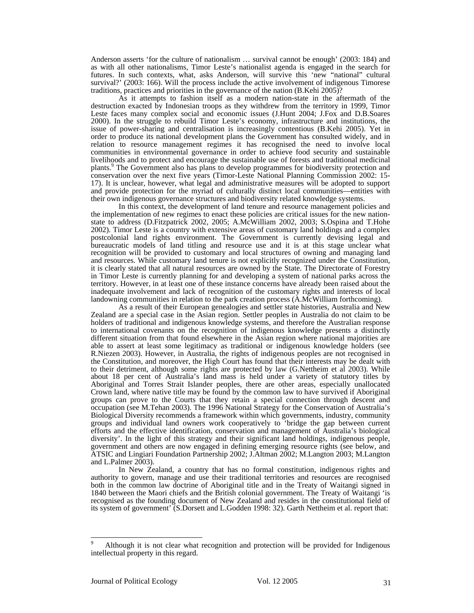Anderson asserts 'for the culture of nationalism … survival cannot be enough' (2003: 184) and as with all other nationalisms, Timor Leste's nationalist agenda is engaged in the search for futures. In such contexts, what, asks Anderson, will survive this 'new "national" cultural survival?' (2003: 166). Will the process include the active involvement of indigenous Timorese traditions, practices and priorities in the governance of the nation (B.Kehi 2005)?

 As it attempts to fashion itself as a modern nation-state in the aftermath of the destruction exacted by Indonesian troops as they withdrew from the territory in 1999, Timor Leste faces many complex social and economic issues (J.Hunt 2004; J.Fox and D.B.Soares 2000). In the struggle to rebuild Timor Leste's economy, infrastructure and institutions, the issue of power-sharing and centralisation is increasingly contentious (B.Kehi 2005). Yet in order to produce its national development plans the Government has consulted widely, and in relation to resource management regimes it has recognised the need to involve local communities in environmental governance in order to achieve food security and sustainable livelihoods and to protect and encourage the sustainable use of forests and traditional medicinal plants.<sup>9</sup> The Government also has plans to develop programmes for biodiversity protection and conservation over the next five years (Timor-Leste National Planning Commission 2002: 15- 17). It is unclear, however, what legal and administrative measures will be adopted to support and provide protection for the myriad of culturally distinct local communities—entities with their own indigenous governance structures and biodiversity related knowledge systems.

 In this context, the development of land tenure and resource management policies and the implementation of new regimes to enact these policies are critical issues for the new nationstate to address (D.Fitzpatrick 2002, 2005; A.McWilliam 2002, 2003; S.Ospina and T.Hohe 2002). Timor Leste is a country with extensive areas of customary land holdings and a complex postcolonial land rights environment. The Government is currently devising legal and bureaucratic models of land titling and resource use and it is at this stage unclear what recognition will be provided to customary and local structures of owning and managing land and resources. While customary land tenure is not explicitly recognized under the Constitution, it is clearly stated that all natural resources are owned by the State. The Directorate of Forestry in Timor Leste is currently planning for and developing a system of national parks across the territory. However, in at least one of these instance concerns have already been raised about the inadequate involvement and lack of recognition of the customary rights and interests of local landowning communities in relation to the park creation process (A.McWilliam forthcoming).

 As a result of their European genealogies and settler state histories, Australia and New Zealand are a special case in the Asian region. Settler peoples in Australia do not claim to be holders of traditional and indigenous knowledge systems, and therefore the Australian response to international covenants on the recognition of indigenous knowledge presents a distinctly different situation from that found elsewhere in the Asian region where national majorities are able to assert at least some legitimacy as traditional or indigenous knowledge holders (see R.Niezen 2003). However, in Australia, the rights of indigenous peoples are not recognised in the Constitution, and moreover, the High Court has found that their interests may be dealt with to their detriment, although some rights are protected by law (G.Nettheim et al 2003). While about 18 per cent of Australia's land mass is held under a variety of statutory titles by Aboriginal and Torres Strait Islander peoples, there are other areas, especially unallocated Crown land, where native title may be found by the common law to have survived if Aboriginal groups can prove to the Courts that they retain a special connection through descent and occupation (see M.Tehan 2003). The 1996 National Strategy for the Conservation of Australia's Biological Diversity recommends a framework within which governments, industry, community groups and individual land owners work cooperatively to 'bridge the gap between current efforts and the effective identification, conservation and management of Australia's biological diversity'. In the light of this strategy and their significant land holdings, indigenous people, government and others are now engaged in defining emerging resource rights (see below, and ATSIC and Lingiari Foundation Partnership 2002; J.Altman 2002; M.Langton 2003; M.Langton and L.Palmer 2003).

 In New Zealand, a country that has no formal constitution, indigenous rights and authority to govern, manage and use their traditional territories and resources are recognised both in the common law doctrine of Aboriginal title and in the Treaty of Waitangi signed in 1840 between the Maori chiefs and the British colonial government. The Treaty of Waitangi 'is recognised as the founding document of New Zealand and resides in the constitutional field of its system of government' (S.Dorsett and L.Godden 1998: 32). Garth Nettheim et al. report that:

 $\overline{a}$ 9 Although it is not clear what recognition and protection will be provided for Indigenous intellectual property in this regard.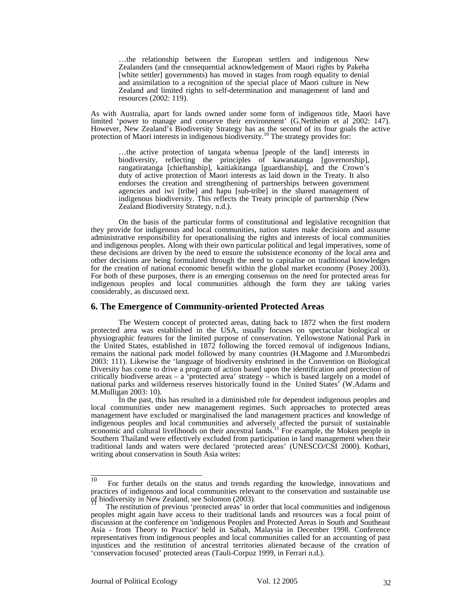…the relationship between the European settlers and indigenous New Zealanders (and the consequential acknowledgement of Maori rights by Pakeha [white settler] governments) has moved in stages from rough equality to denial and assimilation to a recognition of the special place of Maori culture in New Zealand and limited rights to self-determination and management of land and resources (2002: 119).

As with Australia, apart for lands owned under some form of indigenous title, Maori have limited 'power to manage and conserve their environment' (G.Nettheim et al 2002: 147). However, New Zealand's Biodiversity Strategy has as the second of its four goals the active protection of Maori interests in indigenous biodiversity.<sup>10</sup> The strategy provides for:

…the active protection of tangata whenua [people of the land] interests in biodiversity, reflecting the principles of kawanatanga [governorship], rangatiratanga [chieftanship], kaitiakitanga [guardianship], and the Crown's duty of active protection of Maori interests as laid down in the Treaty. It also endorses the creation and strengthening of partnerships between government agencies and iwi [tribe] and hapu [sub-tribe] in the shared management of indigenous biodiversity. This reflects the Treaty principle of partnership (New Zealand Biodiversity Strategy, n.d.).

 On the basis of the particular forms of constitutional and legislative recognition that they provide for indigenous and local communities, nation states make decisions and assume administrative responsibility for operationalising the rights and interests of local communities and indigenous peoples. Along with their own particular political and legal imperatives, some of these decisions are driven by the need to ensure the subsistence economy of the local area and other decisions are being formulated through the need to capitalise on traditional knowledges for the creation of national economic benefit within the global market economy (Posey 2003). For both of these purposes, there is an emerging consensus on the need for protected areas for indigenous peoples and local communities although the form they are taking varies considerably, as discussed next.

#### **6. The Emergence of Community-oriented Protected Areas**

 The Western concept of protected areas, dating back to 1872 when the first modern protected area was established in the USA, usually focuses on spectacular biological or physiographic features for the limited purpose of conservation. Yellowstone National Park in the United States, established in 1872 following the forced removal of indigenous Indians, remains the national park model followed by many countries (H.Magome and J.Murombedzi 2003: 111). Likewise the 'language of biodiversity enshrined in the Convention on Biological Diversity has come to drive a program of action based upon the identification and protection of critically biodiverse areas – a 'protected area' strategy – which is based largely on a model of national parks and wilderness reserves historically found in the United States' (W.Adams and M.Mulligan 2003: 10).

 In the past, this has resulted in a diminished role for dependent indigenous peoples and local communities under new management regimes. Such approaches to protected areas management have excluded or marginalised the land management practices and knowledge of indigenous peoples and local communities and adversely affected the pursuit of sustainable economic and cultural livelihoods on their ancestral lands.<sup>11</sup> For example, the Moken people in Southern Thailand were effectively excluded from participation in land management when their traditional lands and waters were declared 'protected areas' (UNESCO/CSI 2000). Kothari, writing about conservation in South Asia writes:

 <sup>10</sup> For further details on the status and trends regarding the knowledge, innovations and practices of indigenous and local communities relevant to the conservation and sustainable use of biodiversity in New Zealand, see Solomon (2003).

The restitution of previous 'protected areas' in order that local communities and indigenous peoples might again have access to their traditional lands and resources was a focal point of discussion at the conference on 'indigenous Peoples and Protected Areas in South and Southeast Asia - from Theory to Practice' held in Sabah, Malaysia in December 1998. Conference representatives from indigenous peoples and local communities called for an accounting of past injustices and the restitution of ancestral territories alienated because of the creation of 'conservation focused' protected areas (Tauli-Corpuz 1999, in Ferrari n.d.).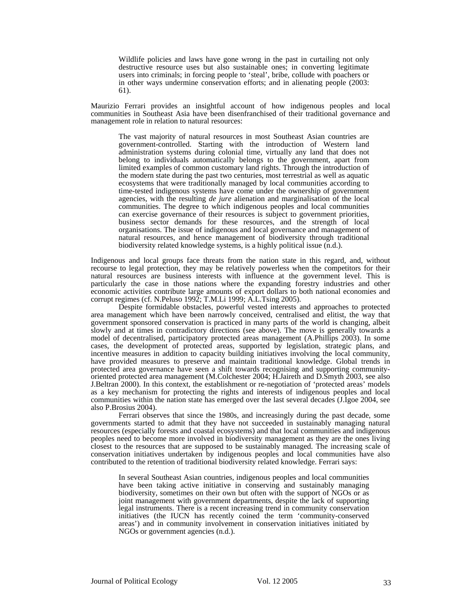Wildlife policies and laws have gone wrong in the past in curtailing not only destructive resource uses but also sustainable ones; in converting legitimate users into criminals; in forcing people to 'steal', bribe, collude with poachers or in other ways undermine conservation efforts; and in alienating people (2003: 61).

Maurizio Ferrari provides an insightful account of how indigenous peoples and local communities in Southeast Asia have been disenfranchised of their traditional governance and management role in relation to natural resources:

The vast majority of natural resources in most Southeast Asian countries are government-controlled. Starting with the introduction of Western land administration systems during colonial time, virtually any land that does not belong to individuals automatically belongs to the government, apart from limited examples of common customary land rights. Through the introduction of the modern state during the past two centuries, most terrestrial as well as aquatic ecosystems that were traditionally managed by local communities according to time-tested indigenous systems have come under the ownership of government agencies, with the resulting *de jure* alienation and marginalisation of the local communities. The degree to which indigenous peoples and local communities can exercise governance of their resources is subject to government priorities, business sector demands for these resources, and the strength of local organisations. The issue of indigenous and local governance and management of natural resources, and hence management of biodiversity through traditional biodiversity related knowledge systems, is a highly political issue (n.d.).

Indigenous and local groups face threats from the nation state in this regard, and, without recourse to legal protection, they may be relatively powerless when the competitors for their natural resources are business interests with influence at the government level. This is particularly the case in those nations where the expanding forestry industries and other economic activities contribute large amounts of export dollars to both national economies and corrupt regimes (cf. N.Peluso 1992; T.M.Li 1999; A.L.Tsing 2005).

 Despite formidable obstacles, powerful vested interests and approaches to protected area management which have been narrowly conceived, centralised and elitist, the way that government sponsored conservation is practiced in many parts of the world is changing, albeit slowly and at times in contradictory directions (see above). The move is generally towards a model of decentralised, participatory protected areas management (A.Phillips 2003). In some cases, the development of protected areas, supported by legislation, strategic plans, and incentive measures in addition to capacity building initiatives involving the local community, have provided measures to preserve and maintain traditional knowledge. Global trends in protected area governance have seen a shift towards recognising and supporting communityoriented protected area management (M.Colchester 2004; H.Jaireth and D.Smyth 2003, see also J.Beltran 2000). In this context, the establishment or re-negotiation of 'protected areas' models as a key mechanism for protecting the rights and interests of indigenous peoples and local communities within the nation state has emerged over the last several decades (J.Igoe 2004, see also P.Brosius 2004).

 Ferrari observes that since the 1980s, and increasingly during the past decade, some governments started to admit that they have not succeeded in sustainably managing natural resources (especially forests and coastal ecosystems) and that local communities and indigenous peoples need to become more involved in biodiversity management as they are the ones living closest to the resources that are supposed to be sustainably managed. The increasing scale of conservation initiatives undertaken by indigenous peoples and local communities have also contributed to the retention of traditional biodiversity related knowledge. Ferrari says:

In several Southeast Asian countries, indigenous peoples and local communities have been taking active initiative in conserving and sustainably managing biodiversity, sometimes on their own but often with the support of NGOs or as joint management with government departments, despite the lack of supporting legal instruments. There is a recent increasing trend in community conservation initiatives (the IUCN has recently coined the term 'community-conserved areas') and in community involvement in conservation initiatives initiated by NGOs or government agencies (n.d.).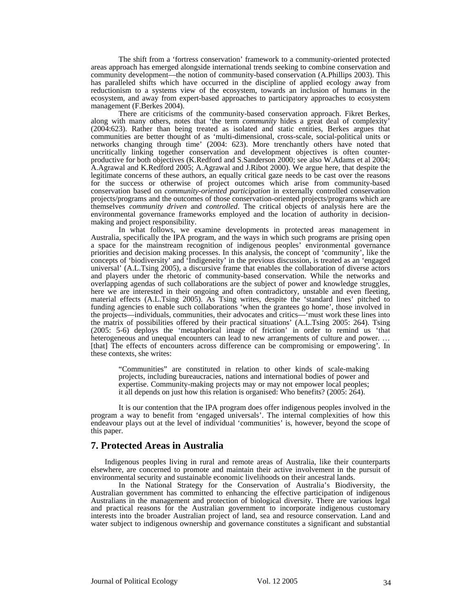The shift from a 'fortress conservation' framework to a community-oriented protected areas approach has emerged alongside international trends seeking to combine conservation and community development—the notion of community-based conservation (A.Phillips 2003). This has paralleled shifts which have occurred in the discipline of applied ecology away from reductionism to a systems view of the ecosystem, towards an inclusion of humans in the ecosystem, and away from expert-based approaches to participatory approaches to ecosystem management (F.Berkes 2004).

 There are criticisms of the community-based conservation approach. Fikret Berkes, along with many others, notes that 'the term *community* hides a great deal of complexity' (2004:623). Rather than being treated as isolated and static entities, Berkes argues that communities are better thought of as 'multi-dimensional, cross-scale, social-political units or networks changing through time' (2004: 623). More trenchantly others have noted that uncritically linking together conservation and development objectives is often counterproductive for both objectives (K.Redford and S.Sanderson 2000; see also W.Adams et al 2004; A.Agrawal and K.Redford 2005; A.Agrawal and J.Ribot 2000). We argue here, that despite the legitimate concerns of these authors, an equally critical gaze needs to be cast over the reasons for the success or otherwise of project outcomes which arise from community-based conservation based on *community-oriented participation* in externally controlled conservation projects/programs and the outcomes of those conservation-oriented projects/programs which are themselves *community driven* and *controlled*. The critical objects of analysis here are the environmental governance frameworks employed and the location of authority in decisionmaking and project responsibility.

 In what follows, we examine developments in protected areas management in Australia, specifically the IPA program, and the ways in which such programs are prising open a space for the mainstream recognition of indigenous peoples' environmental governance priorities and decision making processes. In this analysis, the concept of 'community', like the concepts of 'biodiversity' and 'Indigeneity' in the previous discussion, is treated as an 'engaged universal' (A.L.Tsing 2005), a discursive frame that enables the collaboration of diverse actors and players under the rhetoric of community-based conservation. While the networks and overlapping agendas of such collaborations are the subject of power and knowledge struggles, here we are interested in their ongoing and often contradictory, unstable and even fleeting, material effects (A.L.Tsing 2005). As Tsing writes, despite the 'standard lines' pitched to funding agencies to enable such collaborations 'when the grantees go home', those involved in the projects—individuals, communities, their advocates and critics—'must work these lines into the matrix of possibilities offered by their practical situations' (A.L.Tsing 2005: 264). Tsing (2005: 5-6) deploys the 'metaphorical image of friction' in order to remind us 'that heterogeneous and unequal encounters can lead to new arrangements of culture and power. ... [that] The effects of encounters across difference can be compromising or empowering'. In these contexts, she writes:

"Communities" are constituted in relation to other kinds of scale-making projects, including bureaucracies, nations and international bodies of power and expertise. Community-making projects may or may not empower local peoples; it all depends on just how this relation is organised: Who benefits? (2005: 264).

 It is our contention that the IPA program does offer indigenous peoples involved in the program a way to benefit from 'engaged universals'. The internal complexities of how this endeavour plays out at the level of individual 'communities' is, however, beyond the scope of this paper.

### **7. Protected Areas in Australia**

 Indigenous peoples living in rural and remote areas of Australia, like their counterparts elsewhere, are concerned to promote and maintain their active involvement in the pursuit of environmental security and sustainable economic livelihoods on their ancestral lands.

 In the National Strategy for the Conservation of Australia's Biodiversity, the Australian government has committed to enhancing the effective participation of indigenous Australians in the management and protection of biological diversity. There are various legal and practical reasons for the Australian government to incorporate indigenous customary interests into the broader Australian project of land, sea and resource conservation. Land and water subject to indigenous ownership and governance constitutes a significant and substantial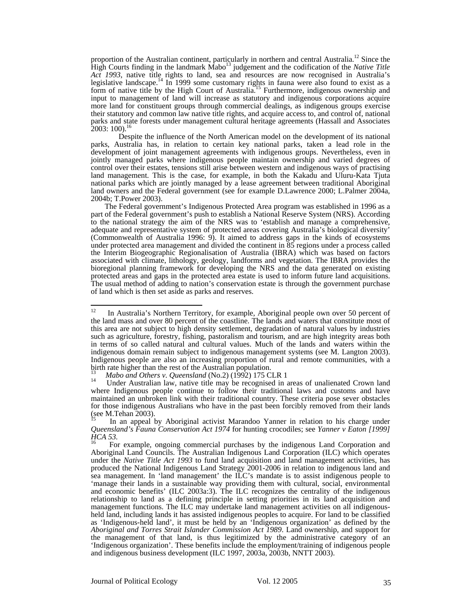proportion of the Australian continent, particularly in northern and central Australia.<sup>12</sup> Since the High Courts finding in the landmark Mabo<sup>13</sup> judgement and the codification of the *Native Title Act 1993*, native title rights to land, sea and resources are now recognised in Australia's legislative landscape.<sup>14</sup> In 1999 some customary rights in fauna were also found to exist as a form of native title by the High Court of Australia.<sup>15</sup> Furthermore, indigenous ownership and input to management of land will increase as statutory and indigenous corporations acquire more land for constituent groups through commercial dealings, as indigenous groups exercise their statutory and common law native title rights, and acquire access to, and control of, national parks and state forests under management cultural heritage agreements (Hassall and Associates  $2003:100$ <sup>16</sup>

 Despite the influence of the North American model on the development of its national parks, Australia has, in relation to certain key national parks, taken a lead role in the development of joint management agreements with indigenous groups. Nevertheless, even in jointly managed parks where indigenous people maintain ownership and varied degrees of control over their estates, tensions still arise between western and indigenous ways of practising land management. This is the case, for example, in both the Kakadu and Uluru-Kata Tjuta national parks which are jointly managed by a lease agreement between traditional Aboriginal land owners and the Federal government (see for example D.Lawrence 2000; L.Palmer 2004a, 2004b; T.Power 2003).

 The Federal government's Indigenous Protected Area program was established in 1996 as a part of the Federal government's push to establish a National Reserve System (NRS). According to the national strategy the aim of the NRS was to 'establish and manage a comprehensive, adequate and representative system of protected areas covering Australia's biological diversity' (Commonwealth of Australia 1996: 9). It aimed to address gaps in the kinds of ecosystems under protected area management and divided the continent in 85 regions under a process called the Interim Biogeographic Regionalisation of Australia (IBRA) which was based on factors associated with climate, lithology, geology, landforms and vegetation. The IBRA provides the bioregional planning framework for developing the NRS and the data generated on existing protected areas and gaps in the protected area estate is used to inform future land acquisitions. The usual method of adding to nation's conservation estate is through the government purchase of land which is then set aside as parks and reserves.

 $12$ In Australia's Northern Territory, for example, Aboriginal people own over 50 percent of the land mass and over 80 percent of the coastline. The lands and waters that constitute most of this area are not subject to high density settlement, degradation of natural values by industries such as agriculture, forestry, fishing, pastoralism and tourism, and are high integrity areas both in terms of so called natural and cultural values. Much of the lands and waters within the indigenous domain remain subject to indigenous management systems (see M. Langton 2003). Indigenous people are also an increasing proportion of rural and remote communities, with a birth rate higher than the rest of the Australian population.

<sup>&</sup>lt;sup>13</sup> Mabo and Others v. Queensland (No.2) (1992) 175 CLR 1<br><sup>14</sup> Under Australian law, native title may be recognised in areas of unalienated Crown land where Indigenous people continue to follow their traditional laws and customs and have maintained an unbroken link with their traditional country. These criteria pose sever obstacles for those indigenous Australians who have in the past been forcibly removed from their lands (see M.Tehan 2003).

<sup>15</sup> In an appeal by Aboriginal activist Marandoo Yanner in relation to his charge under *Queensland's Fauna Conservation Act 1974* for hunting crocodiles; see *Yanner v Eaton [1999] HCA 53.*

<sup>16</sup> For example, ongoing commercial purchases by the indigenous Land Corporation and Aboriginal Land Councils. The Australian Indigenous Land Corporation (ILC) which operates under the *Native Title Act 1993* to fund land acquisition and land management activities, has produced the National Indigenous Land Strategy 2001-2006 in relation to indigenous land and sea management. In 'land management' the ILC's mandate is to assist indigenous people to 'manage their lands in a sustainable way providing them with cultural, social, environmental and economic benefits' (ILC 2003a:3). The ILC recognizes the centrality of the indigenous relationship to land as a defining principle in setting priorities in its land acquisition and management functions. The ILC may undertake land management activities on all indigenousheld land, including lands it has assisted indigenous peoples to acquire. For land to be classified as 'Indigenous-held land', it must be held by an 'Indigenous organization' as defined by the *Aboriginal and Torres Strait Islander Commission Act 1989*. Land ownership, and support for the management of that land, is thus legitimized by the administrative category of an 'Indigenous organization'. These benefits include the employment/training of indigenous people and indigenous business development (ILC 1997, 2003a, 2003b, NNTT 2003).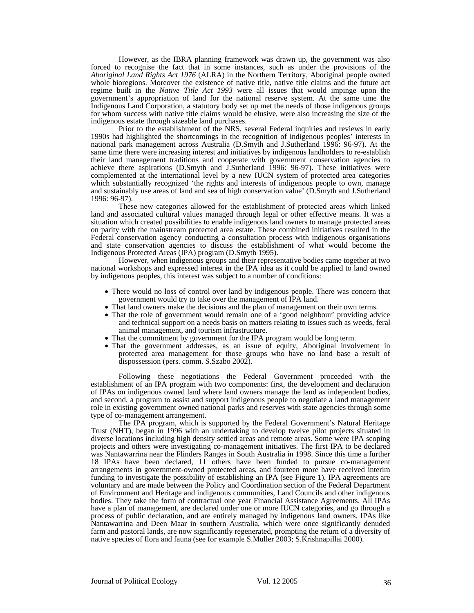However, as the IBRA planning framework was drawn up, the government was also forced to recognise the fact that in some instances, such as under the provisions of the *Aboriginal Land Rights Act 1976* (ALRA) in the Northern Territory, Aboriginal people owned whole bioregions. Moreover the existence of native title, native title claims and the future act regime built in the *Native Title Act 1993* were all issues that would impinge upon the government's appropriation of land for the national reserve system. At the same time the Indigenous Land Corporation, a statutory body set up met the needs of those indigenous groups for whom success with native title claims would be elusive, were also increasing the size of the indigenous estate through sizeable land purchases.

 Prior to the establishment of the NRS, several Federal inquiries and reviews in early 1990s had highlighted the shortcomings in the recognition of indigenous peoples' interests in national park management across Australia (D.Smyth and J.Sutherland 1996: 96-97). At the same time there were increasing interest and initiatives by indigenous landholders to re-establish their land management traditions and cooperate with government conservation agencies to achieve there aspirations (D.Smyth and J.Sutherland 1996: 96-97). These initiatives were complemented at the international level by a new IUCN system of protected area categories which substantially recognized 'the rights and interests of indigenous people to own, manage and sustainably use areas of land and sea of high conservation value' (D.Smyth and J.Sutherland 1996: 96-97).

 These new categories allowed for the establishment of protected areas which linked land and associated cultural values managed through legal or other effective means. It was a situation which created possibilities to enable indigenous land owners to manage protected areas on parity with the mainstream protected area estate. These combined initiatives resulted in the Federal conservation agency conducting a consultation process with indigenous organisations and state conservation agencies to discuss the establishment of what would become the Indigenous Protected Areas (IPA) program (D.Smyth 1995).

 However, when indigenous groups and their representative bodies came together at two national workshops and expressed interest in the IPA idea as it could be applied to land owned by indigenous peoples, this interest was subject to a number of conditions:

- There would no loss of control over land by indigenous people. There was concern that government would try to take over the management of IPA land.
- That land owners make the decisions and the plan of management on their own terms.
- That the role of government would remain one of a 'good neighbour' providing advice and technical support on a needs basis on matters relating to issues such as weeds, feral animal management, and tourism infrastructure.
- That the commitment by government for the IPA program would be long term.
- That the government addresses, as an issue of equity, Aboriginal involvement in protected area management for those groups who have no land base a result of dispossession (pers. comm. S.Szabo 2002).

 Following these negotiations the Federal Government proceeded with the establishment of an IPA program with two components: first, the development and declaration of IPAs on indigenous owned land where land owners manage the land as independent bodies, and second, a program to assist and support indigenous people to negotiate a land management role in existing government owned national parks and reserves with state agencies through some type of co-management arrangement.

 The IPA program, which is supported by the Federal Government's Natural Heritage Trust (NHT), began in 1996 with an undertaking to develop twelve pilot projects situated in diverse locations including high density settled areas and remote areas. Some were IPA scoping projects and others were investigating co-management initiatives. The first IPA to be declared was Nantawarrina near the Flinders Ranges in South Australia in 1998. Since this time a further 18 IPAs have been declared, 11 others have been funded to pursue co-management arrangements in government-owned protected areas, and fourteen more have received interim funding to investigate the possibility of establishing an IPA (see Figure 1). IPA agreements are voluntary and are made between the Policy and Coordination section of the Federal Department of Environment and Heritage and indigenous communities, Land Councils and other indigenous bodies. They take the form of contractual one year Financial Assistance Agreements. All IPAs have a plan of management, are declared under one or more IUCN categories, and go through a process of public declaration, and are entirely managed by indigenous land owners. IPAs like Nantawarrina and Deen Maar in southern Australia, which were once significantly denuded farm and pastoral lands, are now significantly regenerated, prompting the return of a diversity of native species of flora and fauna (see for example S.Muller 2003; S.Krishnapillai 2000).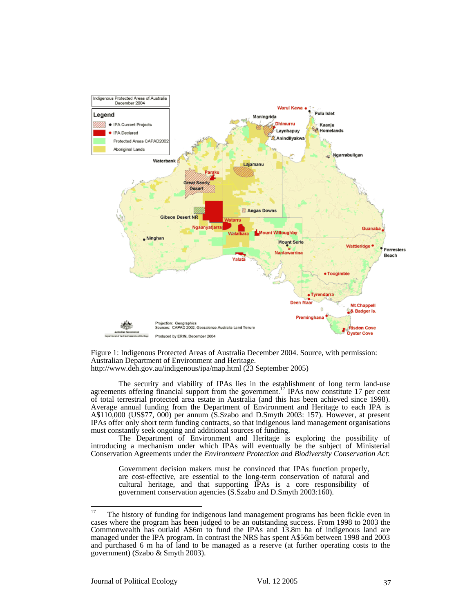

Figure 1: Indigenous Protected Areas of Australia December 2004. Source, with permission: Australian Department of Environment and Heritage. http://www.deh.gov.au/indigenous/ipa/map.html (23 September 2005)

 The security and viability of IPAs lies in the establishment of long term land-use agreements offering financial support from the government.<sup>17</sup> IPAs now constitute 17 per cent of total terrestrial protected area estate in Australia (and this has been achieved since 1998). Average annual funding from the Department of Environment and Heritage to each IPA is A\$110,000 (US\$77, 000) per annum (S.Szabo and D.Smyth 2003: 157). However, at present IPAs offer only short term funding contracts, so that indigenous land management organisations must constantly seek ongoing and additional sources of funding.

 The Department of Environment and Heritage is exploring the possibility of introducing a mechanism under which IPAs will eventually be the subject of Ministerial Conservation Agreements under the *Environment Protection and Biodiversity Conservation Act*:

Government decision makers must be convinced that IPAs function properly, are cost-effective, are essential to the long-term conservation of natural and cultural heritage, and that supporting IPAs is a core responsibility of government conservation agencies (S.Szabo and D.Smyth 2003:160).

<sup>17</sup> 17 The history of funding for indigenous land management programs has been fickle even in cases where the program has been judged to be an outstanding success. From 1998 to 2003 the Commonwealth has outlaid A\$6m to fund the IPAs and 13.8m ha of indigenous land are managed under the IPA program. In contrast the NRS has spent A\$56m between 1998 and 2003 and purchased 6 m ha of land to be managed as a reserve (at further operating costs to the government) (Szabo & Smyth 2003).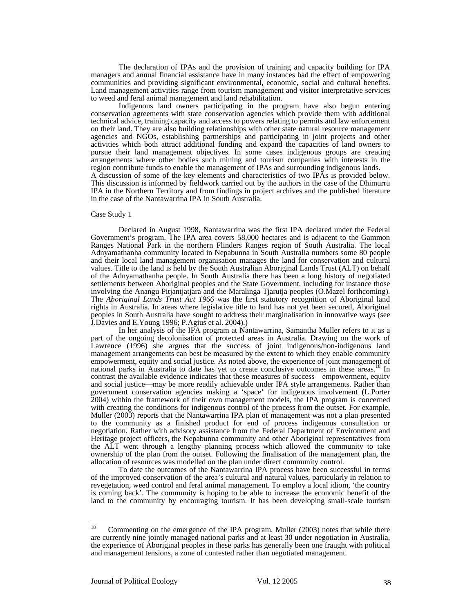The declaration of IPAs and the provision of training and capacity building for IPA managers and annual financial assistance have in many instances had the effect of empowering communities and providing significant environmental, economic, social and cultural benefits. Land management activities range from tourism management and visitor interpretative services to weed and feral animal management and land rehabilitation.

 Indigenous land owners participating in the program have also begun entering conservation agreements with state conservation agencies which provide them with additional technical advice, training capacity and access to powers relating to permits and law enforcement on their land. They are also building relationships with other state natural resource management agencies and NGOs, establishing partnerships and participating in joint projects and other activities which both attract additional funding and expand the capacities of land owners to pursue their land management objectives. In some cases indigenous groups are creating arrangements where other bodies such mining and tourism companies with interests in the region contribute funds to enable the management of IPAs and surrounding indigenous lands.

A discussion of some of the key elements and characteristics of two IPAs is provided below. This discussion is informed by fieldwork carried out by the authors in the case of the Dhimurru IPA in the Northern Territory and from findings in project archives and the published literature in the case of the Nantawarrina IPA in South Australia.

#### Case Study 1

 Declared in August 1998, Nantawarrina was the first IPA declared under the Federal Government's program. The IPA area covers 58,000 hectares and is adjacent to the Gammon Ranges National Park in the northern Flinders Ranges region of South Australia. The local Adnyamathanha community located in Nepabunna in South Australia numbers some 80 people and their local land management organisation manages the land for conservation and cultural values. Title to the land is held by the South Australian Aboriginal Lands Trust (ALT) on behalf of the Adnyamathanha people. In South Australia there has been a long history of negotiated settlements between Aboriginal peoples and the State Government, including for instance those involving the Anangu Pitjantjatjara and the Maralinga Tjarutja peoples (O.Mazel forthcoming). The *Aboriginal Lands Trust Act 1966* was the first statutory recognition of Aboriginal land rights in Australia. In areas where legislative title to land has not yet been secured, Aboriginal peoples in South Australia have sought to address their marginalisation in innovative ways (see J.Davies and E.Young 1996; P.Agius et al. 2004).)

 In her analysis of the IPA program at Nantawarrina, Samantha Muller refers to it as a part of the ongoing decolonisation of protected areas in Australia. Drawing on the work of Lawrence (1996) she argues that the success of joint indigenous/non-indigenous land management arrangements can best be measured by the extent to which they enable community empowerment, equity and social justice. As noted above, the experience of joint management of national parks in Australia to date has yet to create conclusive outcomes in these areas.<sup>18</sup> In contrast the available evidence indicates that these measures of success—empowerment, equity and social justice—may be more readily achievable under IPA style arrangements. Rather than government conservation agencies making a 'space' for indigenous involvement (L.Porter 2004) within the framework of their own management models, the IPA program is concerned with creating the conditions for indigenous control of the process from the outset. For example, Muller (2003) reports that the Nantawarrina IPA plan of management was not a plan presented to the community as a finished product for end of process indigenous consultation or negotiation. Rather with advisory assistance from the Federal Department of Environment and Heritage project officers, the Nepabunna community and other Aboriginal representatives from the ALT went through a lengthy planning process which allowed the community to take ownership of the plan from the outset. Following the finalisation of the management plan, the allocation of resources was modelled on the plan under direct community control.

 To date the outcomes of the Nantawarrina IPA process have been successful in terms of the improved conservation of the area's cultural and natural values, particularly in relation to revegetation, weed control and feral animal management. To employ a local idiom, 'the country is coming back'. The community is hoping to be able to increase the economic benefit of the land to the community by encouraging tourism. It has been developing small-scale tourism

<sup>18</sup> Commenting on the emergence of the IPA program, Muller (2003) notes that while there are currently nine jointly managed national parks and at least 30 under negotiation in Australia, the experience of Aboriginal peoples in these parks has generally been one fraught with political and management tensions, a zone of contested rather than negotiated management.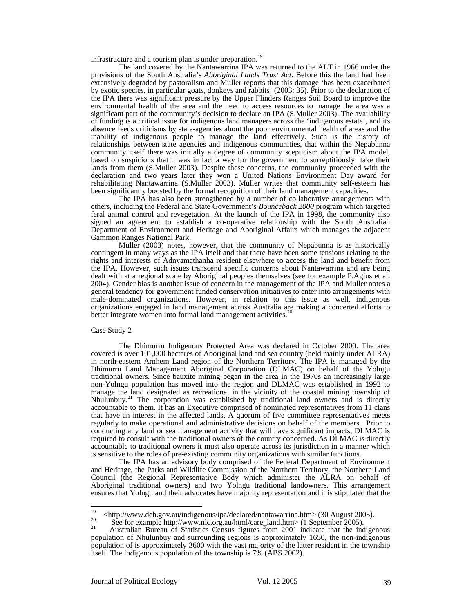infrastructure and a tourism plan is under preparation.<sup>19</sup>

 The land covered by the Nantawarrina IPA was returned to the ALT in 1966 under the provisions of the South Australia's *Aboriginal Lands Trust Act*. Before this the land had been extensively degraded by pastoralism and Muller reports that this damage 'has been exacerbated by exotic species, in particular goats, donkeys and rabbits' (2003: 35). Prior to the declaration of the IPA there was significant pressure by the Upper Flinders Ranges Soil Board to improve the environmental health of the area and the need to access resources to manage the area was a significant part of the community's decision to declare an IPA (S.Muller 2003). The availability of funding is a critical issue for indigenous land managers across the 'indigenous estate', and its absence feeds criticisms by state-agencies about the poor environmental health of areas and the inability of indigenous people to manage the land effectively. Such is the history of relationships between state agencies and indigenous communities, that within the Nepabunna community itself there was initially a degree of community scepticism about the IPA model, based on suspicions that it was in fact a way for the government to surreptitiously take their lands from them (S.Muller 2003). Despite these concerns, the community proceeded with the declaration and two years later they won a United Nations Environment Day award for rehabilitating Nantawarrina (S.Muller 2003). Muller writes that community self-esteem has been significantly boosted by the formal recognition of their land management capacities.

 The IPA has also been strengthened by a number of collaborative arrangements with others, including the Federal and State Government's *Bounceback 2000* program which targeted feral animal control and revegetation. At the launch of the IPA in 1998, the community also signed an agreement to establish a co-operative relationship with the South Australian Department of Environment and Heritage and Aboriginal Affairs which manages the adjacent Gammon Ranges National Park.

 Muller (2003) notes, however, that the community of Nepabunna is as historically contingent in many ways as the IPA itself and that there have been some tensions relating to the rights and interests of Adnyamathanha resident elsewhere to access the land and benefit from the IPA. However, such issues transcend specific concerns about Nantawarrina and are being dealt with at a regional scale by Aboriginal peoples themselves (see for example P.Agius et al. 2004). Gender bias is another issue of concern in the management of the IPA and Muller notes a general tendency for government funded conservation initiatives to enter into arrangements with male-dominated organizations. However, in relation to this issue as well, indigenous organizations engaged in land management across Australia are making a concerted efforts to better integrate women into formal land management activities.<sup>2</sup>

#### Case Study 2

 The Dhimurru Indigenous Protected Area was declared in October 2000. The area covered is over 101,000 hectares of Aboriginal land and sea country (held mainly under ALRA) in north-eastern Arnhem Land region of the Northern Territory. The IPA is managed by the Dhimurru Land Management Aboriginal Corporation (DLMAC) on behalf of the Yolngu traditional owners. Since bauxite mining began in the area in the 1970s an increasingly large non-Yolngu population has moved into the region and DLMAC was established in 1992 to manage the land designated as recreational in the vicinity of the coastal mining township of Nhulunbuy.<sup>21</sup> The corporation was established by traditional land owners and is directly accountable to them. It has an Executive comprised of nominated representatives from 11 clans that have an interest in the affected lands. A quorum of five committee representatives meets regularly to make operational and administrative decisions on behalf of the members. Prior to conducting any land or sea management activity that will have significant impacts, DLMAC is required to consult with the traditional owners of the country concerned. As DLMAC is directly accountable to traditional owners it must also operate across its jurisdiction in a manner which is sensitive to the roles of pre-existing community organizations with similar functions.

 The IPA has an advisory body comprised of the Federal Department of Environment and Heritage, the Parks and Wildlife Commission of the Northern Territory, the Northern Land Council (the Regional Representative Body which administer the ALRA on behalf of Aboriginal traditional owners) and two Yolngu traditional landowners. This arrangement ensures that Yolngu and their advocates have majority representation and it is stipulated that the

<sup>19</sup> 

<sup>&</sup>lt;sup>19</sup> <http://www.deh.gov.au/indigenous/ipa/declared/nantawarrina.htm> (30 August 2005).<br><sup>20</sup> See for example http://www.nlc.org.au/html/care\_land.htm> (1 September 2005).<br><sup>21</sup> Australian Bureau of Statistics Census figure population of Nhulunbuy and surrounding regions is approximately 1650, the non-indigenous population of is approximately 3600 with the vast majority of the latter resident in the township itself. The indigenous population of the township is 7% (ABS 2002).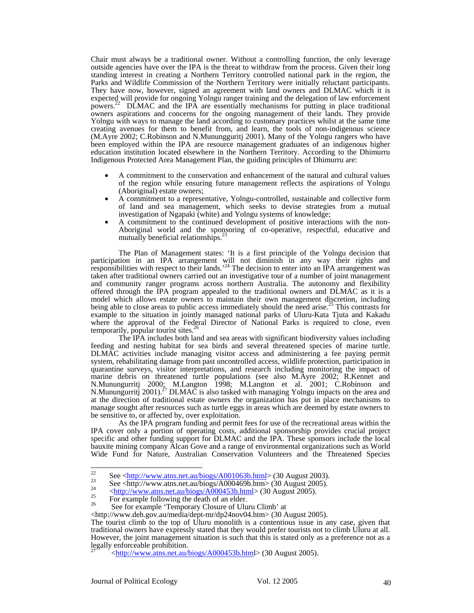Chair must always be a traditional owner. Without a controlling function, the only leverage outside agencies have over the IPA is the threat to withdraw from the process. Given their long standing interest in creating a Northern Territory controlled national park in the region, the Parks and Wildlife Commission of the Northern Territory were initially reluctant participants. They have now, however, signed an agreement with land owners and DLMAC which it is expected will provide for ongoing Yolngu ranger training and the delegation of law enforcement powers.<sup>22</sup> DLMAC and the IPA are essentially mechanisms for putting in place traditional owners aspirations and concerns for the ongoing management of their lands. They provide Yolngu with ways to manage the land according to customary practices whilst at the same time creating avenues for them to benefit from, and learn, the tools of non-indigenous science (M.Ayre 2002; C.Robinson and N.Munungguritj 2001). Many of the Yolngu rangers who have been employed within the IPA are resource management graduates of an indigenous higher education institution located elsewhere in the Northern Territory. According to the Dhimurru Indigenous Protected Area Management Plan, the guiding principles of Dhimurru are:

- A commitment to the conservation and enhancement of the natural and cultural values of the region while ensuring future management reflects the aspirations of Yolngu
- (Aboriginal) estate owners;<br>A commitment to a representative, Yolngu-controlled, sustainable and collective form of land and sea management, which seeks to devise strategies from a mutual investigation of Ngapaki (white) and Yolngu systems of knowledge;
- A commitment to the continued development of positive interactions with the non-Aboriginal world and the sponsoring of co-operative, respectful, educative and mutually beneficial relationships.<sup>2</sup>

 The Plan of Management states: 'It is a first principle of the Yolngu decision that participation in an IPA arrangement will not diminish in any way their rights and responsibilities with respect to their lands.<sup>24</sup> The decision to enter into an IPA arrangement was taken after traditional owners carried out an investigative tour of a number of joint management and community ranger programs across northern Australia. The autonomy and flexibility offered through the IPA program appealed to the traditional owners and DLMAC as it is a model which allows estate owners to maintain their own management discretion, including being able to close areas to public access immediately should the need arise.<sup>25</sup> This contrasts for example to the situation in jointly managed national parks of Uluru-Kata Tjuta and Kakadu where the approval of the Federal Director of National Parks is required to close, even temporarily, popular tourist sites. $26$ 

 The IPA includes both land and sea areas with significant biodiversity values including feeding and nesting habitat for sea birds and several threatened species of marine turtle. DLMAC activities include managing visitor access and administering a fee paying permit system, rehabilitating damage from past uncontrolled access, wildlife protection, participation in quarantine surveys, visitor interpretations, and research including monitoring the impact of marine debris on threatened turtle populations (see also M.Ayre 2002; R.Kennet and N.Munungurritj 2000; M.Langton 1998; M.Langton et al. 2001; C.Robinson and N.Munungurritj 2001).<sup>27</sup> DLMAC is also tasked with managing Yolngu impacts on the area and at the direction of traditional estate owners the organization has put in place mechanisms to manage sought after resources such as turtle eggs in areas which are deemed by estate owners to be sensitive to, or affected by, over exploitation.

 As the IPA program funding and permit fees for use of the recreational areas within the IPA cover only a portion of operating costs, additional sponsorship provides crucial project specific and other funding support for DLMAC and the IPA. These sponsors include the local bauxite mining company Alcan Gove and a range of environmental organizations such as World Wide Fund for Nature, Australian Conservation Volunteers and the Threatened Species

 $22$ See <http://www.atns.net.au/biogs/A001063b.html> (30 August 2003).<br>
See <http://www.atns.net.au/biogs/A000469b.html> (30 August 2005).<br>
See <http://www.atns.net.au/biogs/A000453b.html> (30 August 2005).<br>
See for example f

<sup>&</sup>lt;http://www.deh.gov.au/media/dept-mr/dp24nov04.htm> (30 August 2005).

The tourist climb to the top of Uluru monolith is a contentious issue in any case, given that traditional owners have expressly stated that they would prefer tourists not to climb Uluru at all. However, the joint management situation is such that this is stated only as a preference not as a legally enforceable prohibition.

<sup>27 &</sup>lt;http://www.atns.net.au/biogs/A000453b.html> (30 August 2005).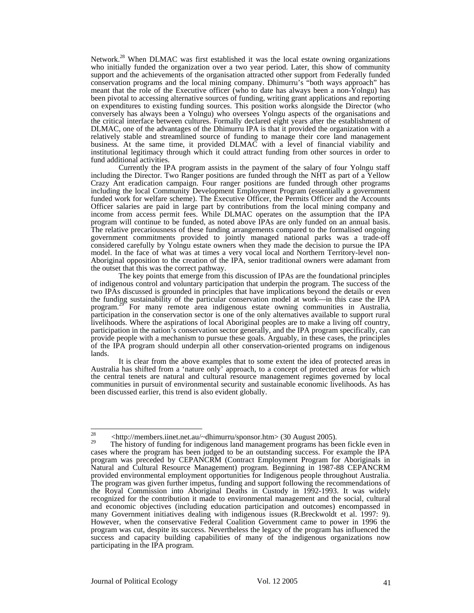Network.<sup>28</sup> When DLMAC was first established it was the local estate owning organizations who initially funded the organization over a two year period. Later, this show of community support and the achievements of the organisation attracted other support from Federally funded conservation programs and the local mining company. Dhimurru's "both ways approach" has meant that the role of the Executive officer (who to date has always been a non-Yolngu) has been pivotal to accessing alternative sources of funding, writing grant applications and reporting on expenditures to existing funding sources. This position works alongside the Director (who conversely has always been a Yolngu) who oversees Yolngu aspects of the organisations and the critical interface between cultures. Formally declared eight years after the establishment of DLMAC, one of the advantages of the Dhimurru IPA is that it provided the organization with a relatively stable and streamlined source of funding to manage their core land management business. At the same time, it provided DLMAC with a level of financial viability and institutional legitimacy through which it could attract funding from other sources in order to fund additional activities.

 Currently the IPA program assists in the payment of the salary of four Yolngu staff including the Director. Two Ranger positions are funded through the NHT as part of a Yellow Crazy Ant eradication campaign. Four ranger positions are funded through other programs including the local Community Development Employment Program (essentially a government funded work for welfare scheme). The Executive Officer, the Permits Officer and the Accounts Officer salaries are paid in large part by contributions from the local mining company and income from access permit fees. While DLMAC operates on the assumption that the IPA program will continue to be funded, as noted above IPAs are only funded on an annual basis. The relative precariousness of these funding arrangements compared to the formalised ongoing government commitments provided to jointly managed national parks was a trade-off considered carefully by Yolngu estate owners when they made the decision to pursue the IPA model. In the face of what was at times a very vocal local and Northern Territory-level non-Aboriginal opposition to the creation of the IPA, senior traditional owners were adamant from the outset that this was the correct pathway.

 The key points that emerge from this discussion of IPAs are the foundational principles of indigenous control and voluntary participation that underpin the program. The success of the two IPAs discussed is grounded in principles that have implications beyond the details or even the funding sustainability of the particular conservation model at work—in this case the IPA program.29 For many remote area indigenous estate owning communities in Australia, participation in the conservation sector is one of the only alternatives available to support rural livelihoods. Where the aspirations of local Aboriginal peoples are to make a living off country, participation in the nation's conservation sector generally, and the IPA program specifically, can provide people with a mechanism to pursue these goals. Arguably, in these cases, the principles of the IPA program should underpin all other conservation-oriented programs on indigenous lands.

 It is clear from the above examples that to some extent the idea of protected areas in Australia has shifted from a 'nature only' approach, to a concept of protected areas for which the central tenets are natural and cultural resource management regimes governed by local communities in pursuit of environmental security and sustainable economic livelihoods. As has been discussed earlier, this trend is also evident globally.

 $28$ 

<sup>28 &</sup>lt;http://members.iinet.net.au/~dhimurru/sponsor.htm> (30 August 2005). 29 The history of funding for indigenous land management programs has been fickle even in cases where the program has been judged to be an outstanding success. For example the IPA program was preceded by CEPANCRM (Contract Employment Program for Aboriginals in Natural and Cultural Resource Management) program. Beginning in 1987-88 CEPANCRM provided environmental employment opportunities for Indigenous people throughout Australia. The program was given further impetus, funding and support following the recommendations of the Royal Commission into Aboriginal Deaths in Custody in 1992-1993. It was widely recognized for the contribution it made to environmental management and the social, cultural and economic objectives (including education participation and outcomes) encompassed in many Government initiatives dealing with indigenous issues (R.Breckwoldt et al. 1997: 9). However, when the conservative Federal Coalition Government came to power in 1996 the program was cut, despite its success. Nevertheless the legacy of the program has influenced the success and capacity building capabilities of many of the indigenous organizations now participating in the IPA program.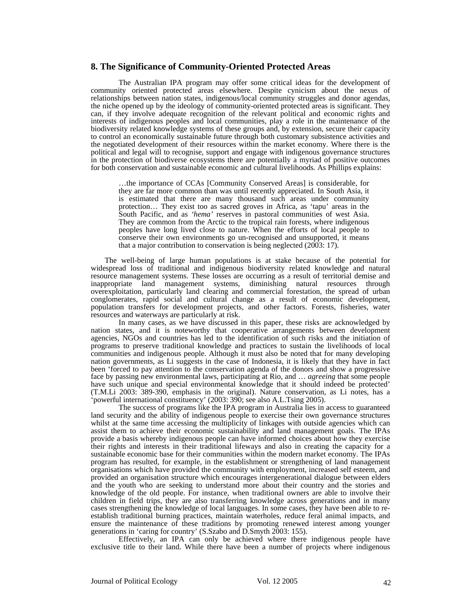#### **8. The Significance of Community-Oriented Protected Areas**

 The Australian IPA program may offer some critical ideas for the development of community oriented protected areas elsewhere. Despite cynicism about the nexus of relationships between nation states, indigenous/local community struggles and donor agendas, the niche opened up by the ideology of community-oriented protected areas is significant. They can, if they involve adequate recognition of the relevant political and economic rights and interests of indigenous peoples and local communities, play a role in the maintenance of the biodiversity related knowledge systems of these groups and, by extension, secure their capacity to control an economically sustainable future through both customary subsistence activities and the negotiated development of their resources within the market economy. Where there is the political and legal will to recognise, support and engage with indigenous governance structures in the protection of biodiverse ecosystems there are potentially a myriad of positive outcomes for both conservation and sustainable economic and cultural livelihoods. As Phillips explains:

…the importance of CCAs [Community Conserved Areas] is considerable, for they are far more common than was until recently appreciated. In South Asia, it is estimated that there are many thousand such areas under community protection… They exist too as sacred groves in Africa, as 'tapu' areas in the South Pacific, and as *'hema'* reserves in pastoral communities of west Asia. They are common from the Arctic to the tropical rain forests, where indigenous peoples have long lived close to nature. When the efforts of local people to conserve their own environments go un-recognised and unsupported, it means that a major contribution to conservation is being neglected (2003: 17).

 The well-being of large human populations is at stake because of the potential for widespread loss of traditional and indigenous biodiversity related knowledge and natural resource management systems. These losses are occurring as a result of territorial demise and inappropriate land management systems, diminishing natural resources through overexploitation, particularly land clearing and commercial forestation, the spread of urban conglomerates, rapid social and cultural change as a result of economic development, population transfers for development projects, and other factors. Forests, fisheries, water resources and waterways are particularly at risk.

In many cases, as we have discussed in this paper, these risks are acknowledged by nation states, and it is noteworthy that cooperative arrangements between development agencies, NGOs and countries has led to the identification of such risks and the initiation of programs to preserve traditional knowledge and practices to sustain the livelihoods of local communities and indigenous people. Although it must also be noted that for many developing nation governments, as Li suggests in the case of Indonesia, it is likely that they have in fact been 'forced to pay attention to the conservation agenda of the donors and show a progressive face by passing new environmental laws, participating at Rio, and … *agreeing* that some people have such unique and special environmental knowledge that it should indeed be protected' (T.M.Li 2003: 389-390, emphasis in the original). Nature conservation, as Li notes, has a 'powerful international constituency' (2003: 390; see also A.L.Tsing 2005).

 The success of programs like the IPA program in Australia lies in access to guaranteed land security and the ability of indigenous people to exercise their own governance structures whilst at the same time accessing the multiplicity of linkages with outside agencies which can assist them to achieve their economic sustainability and land management goals. The IPAs provide a basis whereby indigenous people can have informed choices about how they exercise their rights and interests in their traditional lifeways and also in creating the capacity for a sustainable economic base for their communities within the modern market economy. The IPAs program has resulted, for example, in the establishment or strengthening of land management organisations which have provided the community with employment, increased self esteem, and provided an organisation structure which encourages intergenerational dialogue between elders and the youth who are seeking to understand more about their country and the stories and knowledge of the old people. For instance, when traditional owners are able to involve their children in field trips, they are also transferring knowledge across generations and in many cases strengthening the knowledge of local languages. In some cases, they have been able to reestablish traditional burning practices, maintain waterholes, reduce feral animal impacts, and ensure the maintenance of these traditions by promoting renewed interest among younger generations in 'caring for country' (S.Szabo and D.Smyth 2003: 155).

 Effectively, an IPA can only be achieved where there indigenous people have exclusive title to their land. While there have been a number of projects where indigenous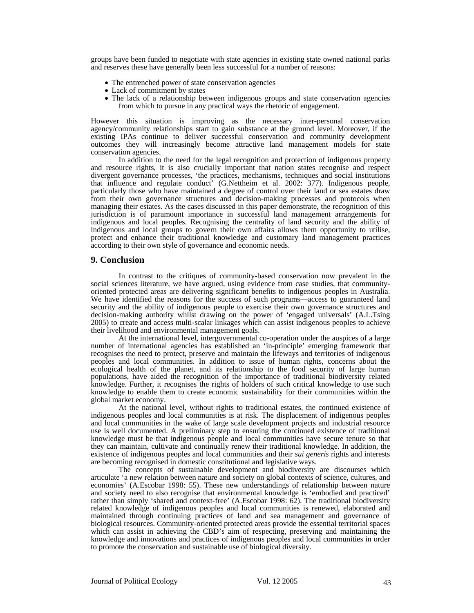groups have been funded to negotiate with state agencies in existing state owned national parks and reserves these have generally been less successful for a number of reasons:

- The entrenched power of state conservation agencies
- Lack of commitment by states
- The lack of a relationship between indigenous groups and state conservation agencies from which to pursue in any practical ways the rhetoric of engagement.

However this situation is improving as the necessary inter-personal conservation agency/community relationships start to gain substance at the ground level. Moreover, if the existing IPAs continue to deliver successful conservation and community development outcomes they will increasingly become attractive land management models for state conservation agencies.

 In addition to the need for the legal recognition and protection of indigenous property and resource rights, it is also crucially important that nation states recognise and respect divergent governance processes, 'the practices, mechanisms, techniques and social institutions that influence and regulate conduct' (G.Nettheim et al. 2002: 377). Indigenous people, particularly those who have maintained a degree of control over their land or sea estates draw from their own governance structures and decision-making processes and protocols when managing their estates. As the cases discussed in this paper demonstrate, the recognition of this jurisdiction is of paramount importance in successful land management arrangements for indigenous and local peoples. Recognising the centrality of land security and the ability of indigenous and local groups to govern their own affairs allows them opportunity to utilise, protect and enhance their traditional knowledge and customary land management practices according to their own style of governance and economic needs.

#### **9. Conclusion**

 In contrast to the critiques of community-based conservation now prevalent in the social sciences literature, we have argued, using evidence from case studies, that communityoriented protected areas are delivering significant benefits to indigenous peoples in Australia. We have identified the reasons for the success of such programs—access to guaranteed land security and the ability of indigenous people to exercise their own governance structures and decision-making authority whilst drawing on the power of 'engaged universals' (A.L.Tsing 2005) to create and access multi-scalar linkages which can assist indigenous peoples to achieve their livelihood and environmental management goals.

 At the international level, intergovernmental co-operation under the auspices of a large number of international agencies has established an 'in-principle' emerging framework that recognises the need to protect, preserve and maintain the lifeways and territories of indigenous peoples and local communities. In addition to issue of human rights, concerns about the ecological health of the planet, and its relationship to the food security of large human populations, have aided the recognition of the importance of traditional biodiversity related knowledge. Further, it recognises the rights of holders of such critical knowledge to use such knowledge to enable them to create economic sustainability for their communities within the global market economy.

 At the national level, without rights to traditional estates, the continued existence of indigenous peoples and local communities is at risk. The displacement of indigenous peoples and local communities in the wake of large scale development projects and industrial resource use is well documented. A preliminary step to ensuring the continued existence of traditional knowledge must be that indigenous people and local communities have secure tenure so that they can maintain, cultivate and continually renew their traditional knowledge. In addition, the existence of indigenous peoples and local communities and their *sui generis* rights and interests are becoming recognised in domestic constitutional and legislative ways.

 The concepts of sustainable development and biodiversity are discourses which articulate 'a new relation between nature and society on global contexts of science, cultures, and economies' (A.Escobar 1998: 55). These new understandings of relationship between nature and society need to also recognise that environmental knowledge is 'embodied and practiced' rather than simply 'shared and context-free' (A.Escobar 1998: 62). The traditional biodiversity related knowledge of indigenous peoples and local communities is renewed, elaborated and maintained through continuing practices of land and sea management and governance of biological resources. Community-oriented protected areas provide the essential territorial spaces which can assist in achieving the CBD's aim of respecting, preserving and maintaining the knowledge and innovations and practices of indigenous peoples and local communities in order to promote the conservation and sustainable use of biological diversity.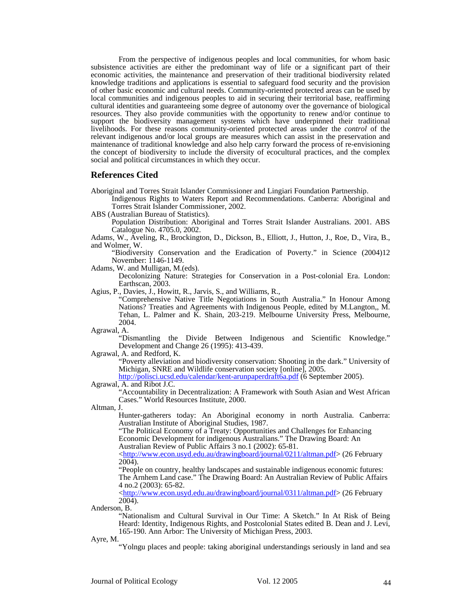From the perspective of indigenous peoples and local communities, for whom basic subsistence activities are either the predominant way of life or a significant part of their economic activities, the maintenance and preservation of their traditional biodiversity related knowledge traditions and applications is essential to safeguard food security and the provision of other basic economic and cultural needs. Community-oriented protected areas can be used by local communities and indigenous peoples to aid in securing their territorial base, reaffirming cultural identities and guaranteeing some degree of autonomy over the governance of biological resources. They also provide communities with the opportunity to renew and/or continue to support the biodiversity management systems which have underpinned their traditional livelihoods. For these reasons community-oriented protected areas under the *control* of the relevant indigenous and/or local groups are measures which can assist in the preservation and maintenance of traditional knowledge and also help carry forward the process of re-envisioning the concept of biodiversity to include the diversity of ecocultural practices, and the complex social and political circumstances in which they occur.

#### **References Cited**

Aboriginal and Torres Strait Islander Commissioner and Lingiari Foundation Partnership.

Indigenous Rights to Waters Report and Recommendations. Canberra: Aboriginal and Torres Strait Islander Commissioner, 2002.

ABS (Australian Bureau of Statistics).

Population Distribution: Aboriginal and Torres Strait Islander Australians. 2001. ABS Catalogue No. 4705.0, 2002.

Adams, W., Aveling, R., Brockington, D., Dickson, B., Elliott, J., Hutton, J., Roe, D., Vira, B., and Wolmer, W.

"Biodiversity Conservation and the Eradication of Poverty." in Science (2004)12 November: 1146-1149.

Adams, W. and Mulligan, M.(eds).

Decolonizing Nature: Strategies for Conservation in a Post-colonial Era. London: Earthscan, 2003.

Agius, P., Davies, J., Howitt, R., Jarvis, S., and Williams, R.,

"Comprehensive Native Title Negotiations in South Australia." In Honour Among Nations? Treaties and Agreements with Indigenous People, edited by M.Langton,, M. Tehan, L. Palmer and K. Shain, 203-219. Melbourne University Press, Melbourne, 2004.

Agrawal, A.

"Dismantling the Divide Between Indigenous and Scientific Knowledge." Development and Change 26 (1995): 413-439.

Agrawal, A. and Redford, K.

"Poverty alleviation and biodiversity conservation: Shooting in the dark." University of Michigan, SNRE and Wildlife conservation society [online], 2005.

http://polisci.ucsd.edu/calendar/kent-arunpaperdraft6a.pdf (6 September 2005).

Agrawal, A. and Ribot J.C.

"Accountability in Decentralization: A Framework with South Asian and West African Cases." World Resources Institute, 2000.

Altman, J.

Hunter-gatherers today: An Aboriginal economy in north Australia. Canberra: Australian Institute of Aboriginal Studies, 1987.

"The Political Economy of a Treaty: Opportunities and Challenges for Enhancing Economic Development for indigenous Australians." The Drawing Board: An Australian Review of Public Affairs 3 no.1 (2002): 65-81.

<http://www.econ.usyd.edu.au/drawingboard/journal/0211/altman.pdf> (26 February 2004).

"People on country, healthy landscapes and sustainable indigenous economic futures: The Arnhem Land case." The Drawing Board: An Australian Review of Public Affairs 4 no.2 (2003): 65-82.

<http://www.econ.usyd.edu.au/drawingboard/journal/0311/altman.pdf> (26 February 2004).

Anderson, B.

"Nationalism and Cultural Survival in Our Time: A Sketch." In At Risk of Being Heard: Identity, Indigenous Rights, and Postcolonial States edited B. Dean and J. Levi, 165-190. Ann Arbor: The University of Michigan Press, 2003.

Ayre, M.

"Yolngu places and people: taking aboriginal understandings seriously in land and sea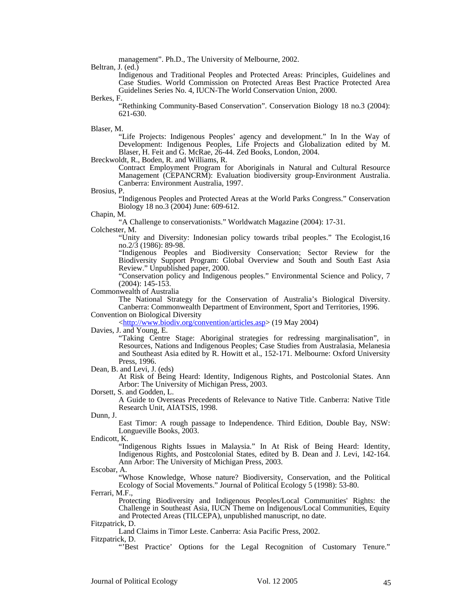management". Ph.D., The University of Melbourne, 2002.

Beltran, J. (ed.)

Indigenous and Traditional Peoples and Protected Areas: Principles, Guidelines and Case Studies. World Commission on Protected Areas Best Practice Protected Area Guidelines Series No. 4, IUCN-The World Conservation Union, 2000.

Berkes, F.

"Rethinking Community-Based Conservation". Conservation Biology 18 no.3 (2004): 621-630.

Blaser, M.

"Life Projects: Indigenous Peoples' agency and development." In In the Way of Development: Indigenous Peoples, Life Projects and Globalization edited by M. Blaser, H. Feit and G. McRae, 26-44. Zed Books, London, 2004.

Breckwoldt, R., Boden, R. and Williams, R.

Contract Employment Program for Aboriginals in Natural and Cultural Resource Management (CEPANCRM): Evaluation biodiversity group-Environment Australia. Canberra: Environment Australia, 1997.

Brosius, P.

"Indigenous Peoples and Protected Areas at the World Parks Congress." Conservation Biology 18 no.3 (2004) June: 609-612.

Chapin, M.

"A Challenge to conservationists." Worldwatch Magazine (2004): 17-31.

Colchester, M.

"Unity and Diversity: Indonesian policy towards tribal peoples." The Ecologist,16 no.2/3 (1986): 89-98.

"Indigenous Peoples and Biodiversity Conservation; Sector Review for the Biodiversity Support Program: Global Overview and South and South East Asia Review." Unpublished paper, 2000.

"Conservation policy and Indigenous peoples." Environmental Science and Policy, 7 (2004): 145-153.

Commonwealth of Australia

The National Strategy for the Conservation of Australia's Biological Diversity. Canberra: Commonwealth Department of Environment, Sport and Territories, 1996.

Convention on Biological Diversity

<http://www.biodiv.org/convention/articles.asp> (19 May 2004)

Davies, J. and Young, E.

"Taking Centre Stage: Aboriginal strategies for redressing marginalisation", in Resources, Nations and Indigenous Peoples; Case Studies from Australasia, Melanesia and Southeast Asia edited by R. Howitt et al., 152-171. Melbourne: Oxford University Press, 1996.

Dean, B. and Levi, J. (eds)

At Risk of Being Heard: Identity, Indigenous Rights, and Postcolonial States. Ann Arbor: The University of Michigan Press, 2003.

Dorsett, S. and Godden, L.

A Guide to Overseas Precedents of Relevance to Native Title. Canberra: Native Title Research Unit, AIATSIS, 1998.

Dunn, J.

East Timor: A rough passage to Independence. Third Edition, Double Bay, NSW: Longueville Books, 2003.

Endicott, K.

"Indigenous Rights Issues in Malaysia." In At Risk of Being Heard: Identity, Indigenous Rights, and Postcolonial States, edited by B. Dean and J. Levi, 142-164. Ann Arbor: The University of Michigan Press, 2003.

Escobar, A.

"Whose Knowledge, Whose nature? Biodiversity, Conservation, and the Political Ecology of Social Movements." Journal of Political Ecology 5 (1998): 53-80.

Ferrari, M.F.,

Protecting Biodiversity and Indigenous Peoples/Local Communities' Rights: the Challenge in Southeast Asia, IUCN Theme on Indigenous/Local Communities, Equity and Protected Areas (TILCEPA), unpublished manuscript, no date.

Fitzpatrick, D.

Land Claims in Timor Leste. Canberra: Asia Pacific Press, 2002.

Fitzpatrick, D.

"'Best Practice' Options for the Legal Recognition of Customary Tenure."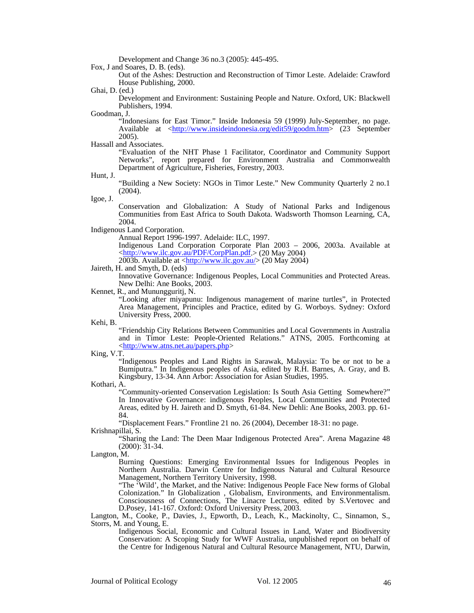Development and Change 36 no.3 (2005): 445-495.

Fox, J and Soares, D. B. (eds).

Out of the Ashes: Destruction and Reconstruction of Timor Leste. Adelaide: Crawford House Publishing, 2000.

Ghai, D. (ed.)

Development and Environment: Sustaining People and Nature. Oxford, UK: Blackwell Publishers, 1994.

Goodman, J.

"Indonesians for East Timor." Inside Indonesia 59 (1999) July-September, no page. Available at <http://www.insideindonesia.org/edit59/goodm.htm> (23 September 2005).

Hassall and Associates.

"Evaluation of the NHT Phase 1 Facilitator, Coordinator and Community Support Networks", report prepared for Environment Australia and Commonwealth Department of Agriculture, Fisheries, Forestry, 2003.

Hunt, J.

"Building a New Society: NGOs in Timor Leste." New Community Quarterly 2 no.1 (2004).

Igoe, J.

Conservation and Globalization: A Study of National Parks and Indigenous Communities from East Africa to South Dakota. Wadsworth Thomson Learning, CA, 2004.

Indigenous Land Corporation.

Annual Report 1996-1997. Adelaide: ILC, 1997.

Indigenous Land Corporation Corporate Plan 2003 – 2006, 2003a. Available at <http://www.ilc.gov.au/PDF/CorpPlan.pdf.> (20 May 2004) 2003b. Available at  $\langle \frac{\text{http://www.ilc.gov.au/}}{\text{http://www.ilc.gov.au/}} \rangle$  (20 May 2004)

Jaireth, H. and Smyth, D. (eds)

Innovative Governance: Indigenous Peoples, Local Communities and Protected Areas. New Delhi: Ane Books, 2003.

Kennet, R., and Munungguritj, N.

"Looking after miyapunu: Indigenous management of marine turtles", in Protected Area Management, Principles and Practice, edited by G. Worboys. Sydney: Oxford University Press, 2000.

Kehi, B.

"Friendship City Relations Between Communities and Local Governments in Australia and in Timor Leste: People-Oriented Relations." ATNS, 2005. Forthcoming at <http://www.atns.net.au/papers.php>

King, V.T.

"Indigenous Peoples and Land Rights in Sarawak, Malaysia: To be or not to be a Bumiputra." In Indigenous peoples of Asia, edited by R.H. Barnes, A. Gray, and B. Kingsbury, 13-34. Ann Arbor: Association for Asian Studies, 1995.

Kothari, A.

"Community-oriented Conservation Legislation: Is South Asia Getting Somewhere?" In Innovative Governance: indigenous Peoples, Local Communities and Protected Areas, edited by H. Jaireth and D. Smyth, 61-84. New Dehli: Ane Books, 2003. pp. 61- 84.

"Displacement Fears." Frontline 21 no. 26 (2004), December 18-31: no page.

Krishnapillai, S.

"Sharing the Land: The Deen Maar Indigenous Protected Area". Arena Magazine 48 (2000): 31-34.

Langton, M.

Burning Questions: Emerging Environmental Issues for Indigenous Peoples in Northern Australia. Darwin Centre for Indigenous Natural and Cultural Resource Management, Northern Territory University, 1998.

"The 'Wild', the Market, and the Native: Indigenous People Face New forms of Global Colonization." In Globalization , Globalism, Environments, and Environmentalism. Consciousness of Connections, The Linacre Lectures, edited by S.Vertovec and D.Posey, 141-167. Oxford: Oxford University Press, 2003.

Langton, M., Cooke, P., Davies, J., Epworth, D., Leach, K., Mackinolty, C., Sinnamon, S., Storrs, M. and Young, E.

Indigenous Social, Economic and Cultural Issues in Land, Water and Biodiversity Conservation: A Scoping Study for WWF Australia, unpublished report on behalf of the Centre for Indigenous Natural and Cultural Resource Management, NTU, Darwin,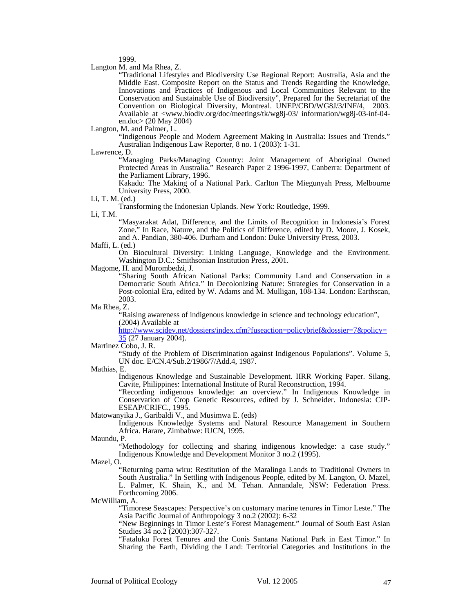1999.<br>Langton M. and Ma Rhea, Z.

"Traditional Lifestyles and Biodiversity Use Regional Report: Australia, Asia and the Middle East. Composite Report on the Status and Trends Regarding the Knowledge, Innovations and Practices of Indigenous and Local Communities Relevant to the Conservation and Sustainable Use of Biodiversity", Prepared for the Secretariat of the Convention on Biological Diversity, Montreal. UNEP/CBD/WG8J/3/INF/4, 2003. Available at <www.biodiv.org/doc/meetings/tk/wg8j-03/ information/wg8j-03-inf-04 en.doc> (20 May 2004)

Langton, M. and Palmer, L.

"Indigenous People and Modern Agreement Making in Australia: Issues and Trends." Australian Indigenous Law Reporter, 8 no. 1 (2003): 1-31.

Lawrence, D.

"Managing Parks/Managing Country: Joint Management of Aboriginal Owned Protected Areas in Australia." Research Paper 2 1996-1997, Canberra: Department of the Parliament Library, 1996.

Kakadu: The Making of a National Park. Carlton The Miegunyah Press, Melbourne University Press, 2000.

Li, T. M. (ed.)

Transforming the Indonesian Uplands. New York: Routledge, 1999.

Li, T.M.

"Masyarakat Adat, Difference, and the Limits of Recognition in Indonesia's Forest Zone." In Race, Nature, and the Politics of Difference, edited by D. Moore, J. Kosek, and A. Pandian, 380-406. Durham and London: Duke University Press, 2003.

Maffi, L. (ed.)

On Biocultural Diversity: Linking Language, Knowledge and the Environment. Washington D.C.: Smithsonian Institution Press, 2001.

Magome, H. and Murombedzi, J.

"Sharing South African National Parks: Community Land and Conservation in a Democratic South Africa." In Decolonizing Nature: Strategies for Conservation in a Post-colonial Era, edited by W. Adams and M. Mulligan, 108-134. London: Earthscan, 2003.

Ma Rhea, Z.

"Raising awareness of indigenous knowledge in science and technology education", (2004) Available at

http://www.scidev.net/dossiers/index.cfm?fuseaction=policybrief&dossier=7&policy= 35 (27 January 2004).

Martinez Cobo, J. R.

"Study of the Problem of Discrimination against Indigenous Populations". Volume 5, UN doc. E/CN.4/Sub.2/1986/7/Add.4, 1987.

Mathias, E.

Indigenous Knowledge and Sustainable Development. IIRR Working Paper. Silang, Cavite, Philippines: International Institute of Rural Reconstruction, 1994.

"Recording indigenous knowledge: an overview." In Indigenous Knowledge in Conservation of Crop Genetic Resources, edited by J. Schneider. Indonesia: CIP-ESEAP/CRIFC., 1995.

Matowanyika J., Garibaldi V., and Musimwa E. (eds)

Indigenous Knowledge Systems and Natural Resource Management in Southern Africa. Harare, Zimbabwe: IUCN, 1995.

Maundu, P.

"Methodology for collecting and sharing indigenous knowledge: a case study." Indigenous Knowledge and Development Monitor 3 no.2 (1995).

Mazel, O.

"Returning parna wiru: Restitution of the Maralinga Lands to Traditional Owners in South Australia." In Settling with Indigenous People, edited by M. Langton, O. Mazel, L. Palmer, K. Shain, K., and M. Tehan. Annandale, NSW: Federation Press. Forthcoming 2006.

McWilliam, A.

"Timorese Seascapes: Perspective's on customary marine tenures in Timor Leste." The Asia Pacific Journal of Anthropology 3 no.2 (2002): 6-32

"New Beginnings in Timor Leste's Forest Management." Journal of South East Asian Studies 34 no.2 (2003):307-327.

"Fataluku Forest Tenures and the Conis Santana National Park in East Timor." In Sharing the Earth, Dividing the Land: Territorial Categories and Institutions in the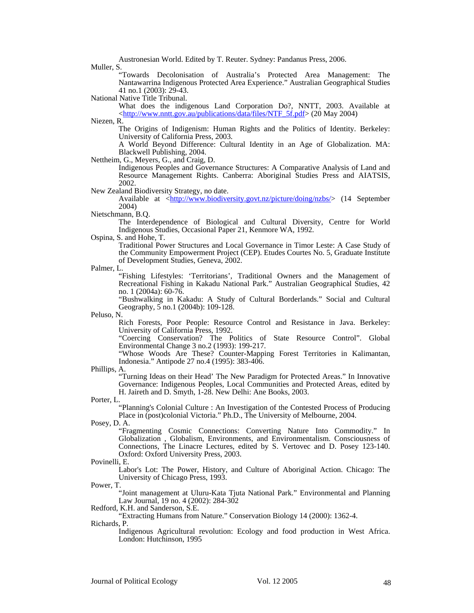Austronesian World. Edited by T. Reuter. Sydney: Pandanus Press, 2006.

Muller, S.

"Towards Decolonisation of Australia's Protected Area Management: The Nantawarrina Indigenous Protected Area Experience." Australian Geographical Studies 41 no.1 (2003): 29-43.

National Native Title Tribunal.

What does the indigenous Land Corporation Do?, NNTT, 2003. Available at <http://www.nntt.gov.au/publications/data/files/NTF\_5f.pdf> (20 May 2004)

Niezen, R.

The Origins of Indigenism: Human Rights and the Politics of Identity. Berkeley: University of California Press, 2003.

A World Beyond Difference: Cultural Identity in an Age of Globalization. MA: Blackwell Publishing, 2004.

Nettheim, G., Meyers, G., and Craig, D.

Indigenous Peoples and Governance Structures: A Comparative Analysis of Land and Resource Management Rights. Canberra: Aboriginal Studies Press and AIATSIS, 2002.

New Zealand Biodiversity Strategy, no date.

Available at <http://www.biodiversity.govt.nz/picture/doing/nzbs/> (14 September 2004)

Nietschmann, B.Q.

The Interdependence of Biological and Cultural Diversity, Centre for World Indigenous Studies, Occasional Paper 21, Kenmore WA, 1992.

Ospina, S. and Hohe, T.

Traditional Power Structures and Local Governance in Timor Leste: A Case Study of the Community Empowerment Project (CEP). Etudes Courtes No. 5, Graduate Institute of Development Studies, Geneva, 2002.

Palmer, L.

"Fishing Lifestyles: 'Territorians', Traditional Owners and the Management of Recreational Fishing in Kakadu National Park." Australian Geographical Studies, 42 no. 1 (2004a): 60-76.

"Bushwalking in Kakadu: A Study of Cultural Borderlands." Social and Cultural Geography, 5 no.1 (2004b): 109-128.

Peluso, N.

Rich Forests, Poor People: Resource Control and Resistance in Java. Berkeley: University of California Press, 1992.

"Coercing Conservation? The Politics of State Resource Control". Global Environmental Change 3 no.2 (1993): 199-217.

"Whose Woods Are These? Counter-Mapping Forest Territories in Kalimantan, Indonesia." Antipode 27 no.4 (1995): 383-406.

Phillips, A.

"Turning Ideas on their Head' The New Paradigm for Protected Areas." In Innovative Governance: Indigenous Peoples, Local Communities and Protected Areas, edited by H. Jaireth and D. Smyth, 1-28. New Delhi: Ane Books, 2003.

Porter, L.

"Planning's Colonial Culture : An Investigation of the Contested Process of Producing Place in (post)colonial Victoria." Ph.D., The University of Melbourne, 2004.

Posey, D. A.

"Fragmenting Cosmic Connections: Converting Nature Into Commodity." In Globalization , Globalism, Environments, and Environmentalism. Consciousness of Connections, The Linacre Lectures, edited by S. Vertovec and D. Posey 123-140. Oxford: Oxford University Press, 2003.

Povinelli, E.

Labor's Lot: The Power, History, and Culture of Aboriginal Action. Chicago: The University of Chicago Press, 1993.

Power, T.

"Joint management at Uluru-Kata Tjuta National Park." Environmental and Planning Law Journal, 19 no. 4 (2002): 284-302

Redford, K.H. and Sanderson, S.E.

"Extracting Humans from Nature." Conservation Biology 14 (2000): 1362-4.

Richards, P.

Indigenous Agricultural revolution: Ecology and food production in West Africa. London: Hutchinson, 1995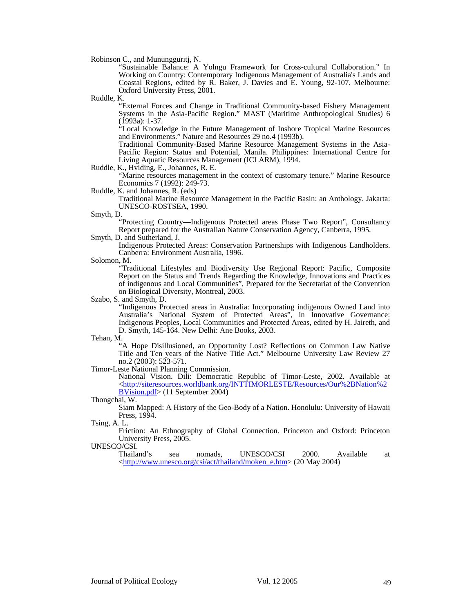Robinson C., and Munungguritj, N.

"Sustainable Balance: A Yolngu Framework for Cross-cultural Collaboration." In Working on Country: Contemporary Indigenous Management of Australia's Lands and Coastal Regions, edited by R. Baker, J. Davies and E. Young, 92-107. Melbourne: Oxford University Press, 2001.

Ruddle, K.

"External Forces and Change in Traditional Community-based Fishery Management Systems in the Asia-Pacific Region." MAST (Maritime Anthropological Studies) 6 (1993a): 1-37.

"Local Knowledge in the Future Management of Inshore Tropical Marine Resources and Environments." Nature and Resources 29 no.4 (1993b).

Traditional Community-Based Marine Resource Management Systems in the Asia-Pacific Region: Status and Potential, Manila. Philippines: International Centre for Living Aquatic Resources Management (ICLARM), 1994.

Ruddle, K., Hviding, E., Johannes, R. E.

"Marine resources management in the context of customary tenure." Marine Resource Economics 7 (1992): 249-73.

Ruddle, K. and Johannes, R. (eds)

Traditional Marine Resource Management in the Pacific Basin: an Anthology. Jakarta: UNESCO-ROSTSEA, 1990.

Smyth, D.

"Protecting Country—Indigenous Protected areas Phase Two Report", Consultancy Report prepared for the Australian Nature Conservation Agency, Canberra, 1995.

Smyth, D. and Sutherland, J.

Indigenous Protected Areas: Conservation Partnerships with Indigenous Landholders. Canberra: Environment Australia, 1996.

Solomon, M.

"Traditional Lifestyles and Biodiversity Use Regional Report: Pacific, Composite Report on the Status and Trends Regarding the Knowledge, Innovations and Practices of indigenous and Local Communities", Prepared for the Secretariat of the Convention on Biological Diversity, Montreal, 2003.

Szabo, S. and Smyth, D.

"Indigenous Protected areas in Australia: Incorporating indigenous Owned Land into Australia's National System of Protected Areas", in Innovative Governance: Indigenous Peoples, Local Communities and Protected Areas, edited by H. Jaireth, and D. Smyth, 145-164. New Delhi: Ane Books, 2003.

Tehan, M.

"A Hope Disillusioned, an Opportunity Lost? Reflections on Common Law Native Title and Ten years of the Native Title Act." Melbourne University Law Review 27 no.2 (2003): 523-571.

Timor-Leste National Planning Commission.

National Vision. Dili: Democratic Republic of Timor-Leste, 2002. Available at <http://siteresources.worldbank.org/INTTIMORLESTE/Resources/Our%2BNation%2 BVision.pdf> (11 September 2004)

Thongchai, W.

Siam Mapped: A History of the Geo-Body of a Nation. Honolulu: University of Hawaii Press, 1994.

Tsing, A. L.

Friction: An Ethnography of Global Connection. Princeton and Oxford: Princeton University Press, 2005.

UNESCO/CSI.

Thailand's sea nomads, UNESCO/CSI 2000. Available at <http://www.unesco.org/csi/act/thailand/moken\_e.htm> (20 May 2004)